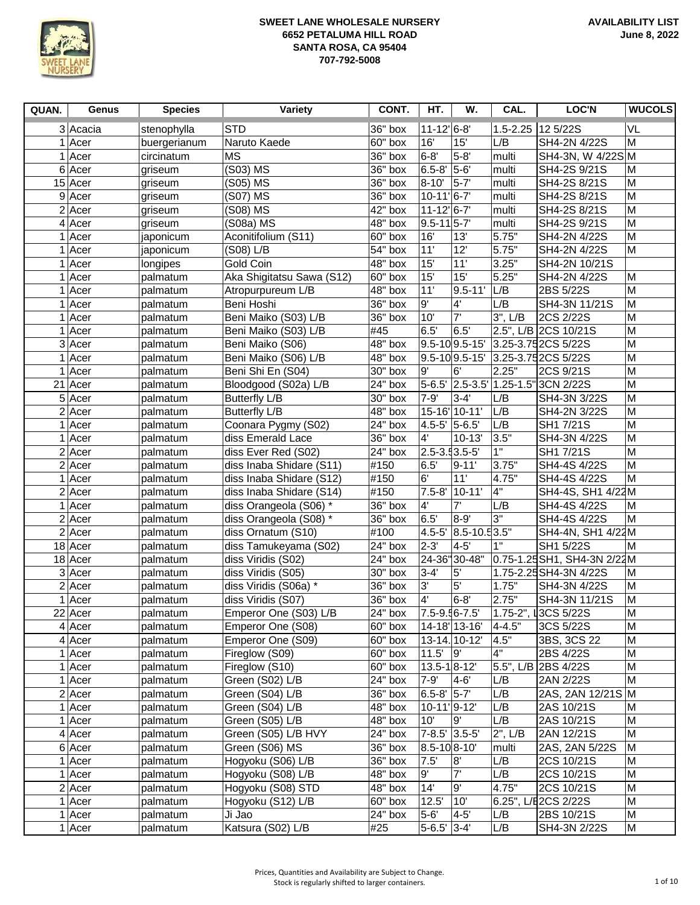

| QUAN. | Genus               | <b>Species</b> | <b>Variety</b>            | CONT.     | HT.                         | W.                   | CAL.                      | LOC'N                              | <b>WUCOLS</b>  |
|-------|---------------------|----------------|---------------------------|-----------|-----------------------------|----------------------|---------------------------|------------------------------------|----------------|
|       | 3 Acacia            | stenophylla    | <b>STD</b>                | 36" box   | $11 - 12$ <sup>'</sup> 6-8' |                      | $1.5 - 2.25$              | 12 5/22S                           | VL             |
|       | $1$ Acer            | buergerianum   | Naruto Kaede              | 60" box   | 16'                         | 15'                  | L/B                       | SH4-2N 4/22S                       | M              |
|       | 1 Acer              | circinatum     | MS                        | 36" box   | $6-8'$                      | $5-8$                | multi                     | SH4-3N, W 4/22S M                  |                |
|       | 6 Acer              | griseum        | (S03) MS                  | 36" box   | 6.5-8' 5-6'                 |                      | multi                     | SH4-2S 9/21S                       | M              |
|       | $15$ Acer           | griseum        | (S05) MS                  | 36" box   | 8-10'                       | $5-7$                | multi                     | SH4-2S 8/21S                       | M              |
|       | $9$ Acer            | griseum        | (S07) MS                  | 36" box   | $10-11$ <sup>'</sup> 6-7'   |                      | multi                     | SH4-2S 8/21S                       | M              |
|       | $2$ Acer            | griseum        | (S08) MS                  | 42" box   | $11 - 12$ <sup>6-7</sup>    |                      | multi                     | SH4-2S 8/21S                       | M              |
|       | $4$ Acer            | griseum        | (S08a) MS                 | 48" box   | $9.5 - 11$ 5-7              |                      | multi                     | SH4-2S 9/21S                       | M              |
|       | 1 Acer              | japonicum      | Aconitifolium (S11)       | 60" box   | 16'                         | 13'                  | 5.75"                     | SH4-2N 4/22S                       | M              |
|       | 1 Acer              | japonicum      | (S08) L/B                 | 54" box   | 11'                         | 12'                  | 5.75"                     | SH4-2N 4/22S                       | M              |
|       | $1$  Acer           | longipes       | Gold Coin                 | 48" box   | 15'                         | 11'                  | 3.25"                     | SH4-2N 10/21S                      |                |
|       | $1$  Acer           | palmatum       | Aka Shigitatsu Sawa (S12) | 60" box   | 15'                         | 15'                  | 5.25"                     | SH4-2N 4/22S                       | M              |
|       | 1 Acer              | palmatum       | Atropurpureum L/B         | 48" box   | 11'                         | $9.5 - 11'$          | L/B                       | 2BS 5/22S                          | M              |
|       | $1$ Acer            | palmatum       | Beni Hoshi                | 36" box   | 9'                          | 4'                   | L/B                       | SH4-3N 11/21S                      | M              |
|       | $\overline{1}$ Acer | palmatum       | Beni Maiko (S03) L/B      | 36" box   | 10'                         | 7'                   | $3$ ", $L/B$              | 2CS 2/22S                          | M              |
|       | 1 Acer              | palmatum       | Beni Maiko (S03) L/B      | #45       | 6.5'                        | 6.5'                 |                           | 2.5", L/B 2CS 10/21S               | M              |
|       | 3 Acer              | palmatum       | Beni Maiko (S06)          | 48" box   |                             |                      |                           | 9.5-10 9.5-15' 3.25-3.75 2CS 5/22S | M              |
|       | 1 Acer              | palmatum       | Beni Maiko (S06) L/B      | $48"$ box |                             |                      |                           | 9.5-10 9.5-15' 3.25-3.75 2CS 5/22S | M              |
| 1     | Acer                | palmatum       | Beni Shi En (S04)         | 30" box   | 9'                          | 6'                   | 2.25"                     | 2CS 9/21S                          | M              |
|       | 21 Acer             | palmatum       | Bloodgood (S02a) L/B      | 24" box   |                             |                      | 5-6.5' 2.5-3.5' 1.25-1.5' | 3CN 2/22S                          | $\overline{M}$ |
|       | $5$ Acer            | palmatum       | <b>Butterfly L/B</b>      | 30" box   | $7 - 9'$                    | $3 - 4'$             | L/B                       | SH4-3N 3/22S                       | M              |
|       | $2$ Acer            | palmatum       | <b>Butterfly L/B</b>      | 48" box   |                             | 15-16' 10-11'        | L/B                       | SH4-2N 3/22S                       | M              |
|       | 1 Acer              | palmatum       | Coonara Pygmy (S02)       | 24" box   | 4.5-5' 5-6.5'               |                      | L/B                       | SH1 7/21S                          | $\overline{M}$ |
|       | 1 Acer              | palmatum       | diss Emerald Lace         | $36"$ box | $4^{\circ}$                 | $10 - 13'$           | 3.5"                      | SH4-3N 4/22S                       | M              |
|       | $2$ Acer            | palmatum       | diss Ever Red (S02)       | 24" box   | 2.5-3.53.5-5                |                      | 1"                        | SH1 7/21S                          | M              |
|       | $2$ Acer            | palmatum       | diss Inaba Shidare (S11)  | #150      | 6.5                         | $9 - 11'$            | 3.75"                     | SH4-4S 4/22S                       | M              |
|       | 1 Acer              | palmatum       | diss Inaba Shidare (S12)  | #150      | 6'                          | 11'                  | 4.75"                     | SH4-4S 4/22S                       | M              |
|       | $2$ Acer            | palmatum       | diss Inaba Shidare (S14)  | #150      |                             | 7.5-8' 10-11'        | $\overline{4}$ "          | SH4-4S, SH1 4/22M                  |                |
|       | 1 Acer              | palmatum       | diss Orangeola (S06) *    | $36"$ box | 4'                          | 7'                   | L/B                       | SH4-4S 4/22S                       | M              |
|       | $2$ Acer            | palmatum       | diss Orangeola (S08) *    | $36"$ box | 6.5'                        | 8-9                  | 3"                        | SH4-4S 4/22S                       | M              |
|       | $2$ Acer            | palmatum       | diss Ornatum (S10)        | #100      |                             | 4.5-5' 8.5-10.5 3.5" |                           | SH4-4N, SH1 4/22M                  |                |
|       | $18$ Acer           | palmatum       | diss Tamukeyama (S02)     | 24" box   | 2-3'                        | $4 - 5'$             | 1"                        | SH1 5/22S                          | M              |
|       | $18$ Acer           | palmatum       | diss Viridis (S02)        | 24" box   |                             | 24-36"30-48"         |                           | 0.75-1.25SH1, SH4-3N 2/22M         |                |
|       | 3 Acer              | palmatum       | diss Viridis (S05)        | 30" box   | $3 - 4$                     | 5'                   |                           | 1.75-2.25 SH4-3N 4/22S             | M              |
|       | $2$ Acer            | palmatum       | diss Viridis (S06a) *     | 36" box   | 3'                          | 5'                   | 1.75"                     | SH4-3N 4/22S                       | M              |
|       | 1 Acer              | palmatum       | diss Viridis (S07)        | 36" box   | 4'                          | $6 - 8'$             | 2.75"                     | SH4-3N 11/21S                      | M              |
|       | 22 Acer             | palmatum       | Emperor One (S03) L/B     | 24" box   | 7.5-9.56-7.5                |                      |                           | 1.75-2", L3CS 5/22S                | ${\sf M}$      |
|       | $4$ Acer            | palmatum       | Emperor One (S08)         | 60" box   |                             | 14-18' 13-16' 4-4.5" |                           | 3CS 5/22S                          | M              |
|       | $4$ Acer            | palmatum       | Emperor One (S09)         | 60" box   |                             | 13-14. 10-12'        | 4.5"                      | 3BS, 3CS 22                        | M              |
|       | $1$ Acer            | palmatum       | Fireglow (S09)            | 60" box   | $11.5'$ 9                   |                      | l4"                       | 2BS 4/22S                          | M              |
|       | $1$ Acer            | palmatum       | Fireglow (S10)            | 60" box   | $13.5 - 18 - 12$            |                      |                           | 5.5", L/B 2BS 4/22S                | M              |
|       | $1$ Acer            | palmatum       | Green (S02) L/B           | 24" box   | $7-9'$ 4-6                  |                      | L/B                       | 2AN 2/22S                          | M              |
|       | $2$ Acer            | palmatum       | Green (S04) L/B           | 36" box   | 6.5-8 5-7                   |                      | L/B                       | 2AS, 2AN 12/21S M                  |                |
|       | $1$ Acer            | palmatum       | Green (S04) L/B           | 48" box   | 10-11 9-12                  |                      | L/B                       | 2AS 10/21S                         | M              |
|       | $1$ Acer            | palmatum       | Green (S05) L/B           | 48" box   | 10'                         | l9'                  | L/B                       | 2AS 10/21S                         | M              |
|       | $4$ Acer            | palmatum       | Green (S05) L/B HVY       | 24" box   | 7-8.5' 3.5-5'               |                      | 2", L/B                   | 2AN 12/21S                         | M              |
|       | $6$ Acer            | palmatum       | Green (S06) MS            | 36" box   | 8.5-108-10                  |                      | multi                     | 2AS, 2AN 5/22S                     | M              |
|       | $1$ Acer            | palmatum       | Hogyoku (S06) L/B         | 36" box   | 7.5                         | 8                    | L/B                       | 2CS 10/21S                         | M              |
|       | $1$ Acer            | palmatum       | Hogyoku (S08) L/B         | 48" box   | 9'                          | יל                   | L/B                       | 2CS 10/21S                         | M              |
|       | $2$ Acer            | palmatum       | Hogyoku (S08) STD         | 48" box   | 14'                         | g'                   | 4.75"                     | 2CS 10/21S                         | M              |
|       | $1$ Acer            | palmatum       | Hogyoku (S12) L/B         | 60" box   | 12.5'                       | 10'                  |                           | 6.25", L/E2CS 2/22S                | M              |
|       | $1$ Acer            | palmatum       | Ji Jao                    | 24" box   | 5-6'                        | $ 4-5$               | L/B                       | 2BS 10/21S                         | M              |
|       | 1 Acer              | palmatum       | Katsura (S02) L/B         | #25       | $5-6.5'$ 3-4                |                      | L/B                       | SH4-3N 2/22S                       | M              |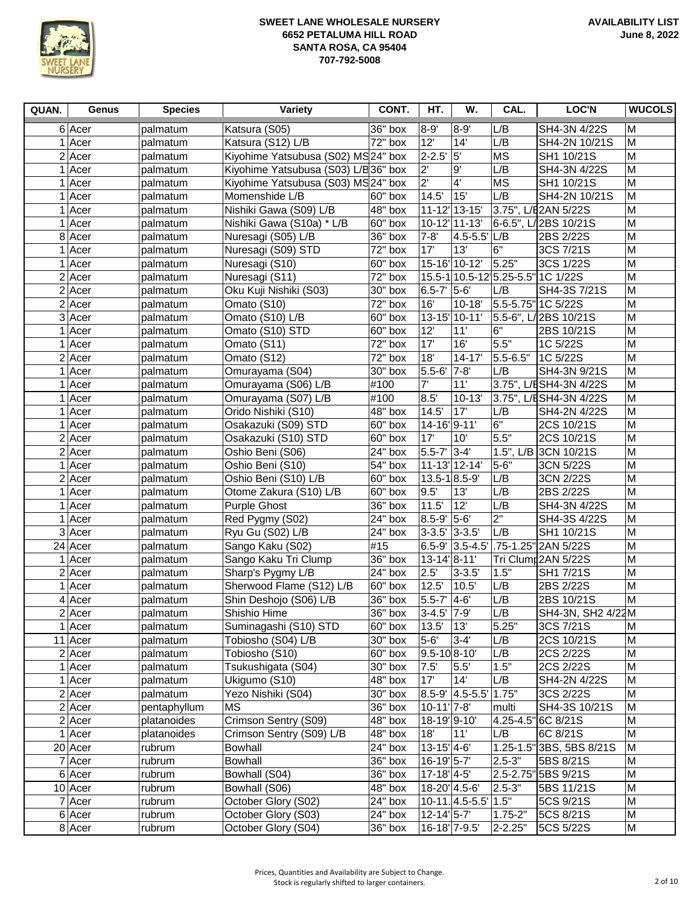

| QUAN. | Genus     | <b>Species</b> | Variety                             | CONT.     | HT.                              | W.                                | CAL.             | <b>LOC'N</b>                       | <b>WUCOLS</b>  |
|-------|-----------|----------------|-------------------------------------|-----------|----------------------------------|-----------------------------------|------------------|------------------------------------|----------------|
|       | 6 Acer    | palmatum       | Katsura (S05)                       | $36"$ box | 8-9                              | $8 - 9'$                          | L/B              | SH4-3N 4/22S                       | M              |
|       | $1$ Acer  | palmatum       | Katsura (S12) L/B                   | 72" box   | 12'                              | $14^{\overline{1}}$               | L/B              | SH4-2N 10/21S                      | M              |
|       | $2$ Acer  | palmatum       | Kiyohime Yatsubusa (S02) MS24" box  |           | $2 - 2.5'$                       | 5                                 | <b>MS</b>        | SH1 10/21S                         | M              |
|       | 1 Acer    | palmatum       | Kiyohime Yatsubusa (S03) L/B36" box |           | $2^{\prime}$                     | 9'                                | L/B              | SH4-3N 4/22S                       | M              |
|       | $1$ Acer  | palmatum       | Kiyohime Yatsubusa (S03) MS 24" box |           | $2^{\prime}$                     | $4^{\circ}$                       | <b>MS</b>        | SH1 10/21S                         | M              |
|       | $1$ Acer  | palmatum       | Momenshide L/B                      | 60" box   | 14.5'                            | 15'                               | L/B              | SH4-2N 10/21S                      | M              |
|       | $1$ Acer  | palmatum       | Nishiki Gawa (S09) L/B              | 48" box   |                                  | 11-12 13-15                       |                  | 3.75", L/E2AN 5/22S                | M              |
|       | $1$ Acer  | palmatum       | Nishiki Gawa (S10a) * L/B           | 60" box   |                                  | 10-12' 11-13'                     |                  | 6-6.5", L/2BS 10/21S               | M              |
|       | 8 Acer    | palmatum       | Nuresagi (S05) L/B                  | 36" box   | $7 - 8'$                         | $4.5 - 5.5$ ' $L/B$               |                  | 2BS 2/22S                          | M              |
|       | $1$ Acer  | palmatum       | Nuresagi (S09) STD                  | 72" box   | 17'                              | 13'                               | l6"              | 3CS 7/21S                          | M              |
|       | 1 Acer    | palmatum       | Nuresagi (S10)                      | 60" box   |                                  | 15-16 10-12                       | 5.25"            | 3CS 1/22S                          | M              |
|       | $2$ Acer  | palmatum       | Nuresagi (S11)                      | 72" box   |                                  |                                   |                  | 15.5-1 10.5-12 5.25-5.5" 1C 1/22S  | M              |
|       | $2$ Acer  | palmatum       | Oku Kuji Nishiki (S03)              | 30" box   | 6.5-7' 5-6'                      |                                   | L/B              | SH4-3S 7/21S                       | M              |
|       | $2$ Acer  | palmatum       | Omato (S10)                         | 72" box   | 16'                              | $10 - 18'$                        |                  | 5.5-5.75" 1C 5/22S                 | M              |
|       | 3 Acer    | palmatum       | Omato (S10) L/B                     | 60" box   |                                  | 13-15 10-11                       |                  | 5.5-6", L/2BS 10/21S               | M              |
|       | 1 Acer    | palmatum       | Omato (S10) STD                     | 60" box   | 12'                              | 11'                               | 6"               | 2BS 10/21S                         | M              |
|       | 1 Acer    | palmatum       | Omato (S11)                         | 72" box   | 17'                              | 16'                               | 5.5"             | 1C 5/22S                           | M              |
|       | $2$ Acer  | palmatum       | Omato (S12)                         | 72" box   | 18'                              | $14 - 17'$                        | 5.5-6.5"         | 1C 5/22S                           | M              |
|       | $1$ Acer  | palmatum       | Omurayama (S04)                     | 30" box   | $5.5 - 6'$ 7-8                   |                                   | L/B              | SH4-3N 9/21S                       | M              |
|       | $1$ Acer  | palmatum       | Omurayama (S06) L/B                 | #100      | 7'                               | 11'                               |                  | 3.75", L/ESH4-3N 4/22S             | $\overline{M}$ |
|       | $1$ Acer  | palmatum       | Omurayama (S07) L/B                 | #100      | 8.5'                             | $10 - 13'$                        |                  | 3.75", L/ESH4-3N 4/22S             | M              |
|       | 1 Acer    | palmatum       | Orido Nishiki (S10)                 | $48"$ box | 14.5'                            | 17'                               | L/B              | SH4-2N 4/22S                       | M              |
|       | 1 Acer    | palmatum       | Osakazuki (S09) STD                 | 60" box   | 14-16 9-11                       |                                   | $\overline{6}$ " | 2CS 10/21S                         | M              |
|       | $2$ Acer  | palmatum       | Osakazuki (S10) STD                 | 60" box   | 17'                              | 10'                               | 5.5"             | 2CS 10/21S                         | M              |
|       | $2$ Acer  | palmatum       | Oshio Beni (S06)                    | 24" box   | 5.5-7' 3-4'                      |                                   |                  | 1.5", L/B 3CN 10/21S               | M              |
|       | 1 Acer    | palmatum       | Oshio Beni (S10)                    | 54" box   |                                  | 11-13 12-14                       | $5 - 6"$         | 3CN 5/22S                          | M              |
|       | $2$ Acer  | palmatum       | Oshio Beni (S10) L/B                | 60" box   | 13.5-1 8.5-9                     |                                   | L/B              | 3CN 2/22S                          | M              |
|       | $1$  Acer | palmatum       | Otome Zakura (S10) L/B              | 60" box   | 9.5'                             | 13'                               | L/B              | 2BS 2/22S                          | M              |
|       | $1$ Acer  | palmatum       | <b>Purple Ghost</b>                 | 36" box   | 11.5'                            | 12'                               | L/B              | SH4-3N 4/22S                       | M              |
|       | 1 Acer    | palmatum       | Red Pygmy (S02)                     | 24" box   | 8.5-9' 5-6'                      |                                   | 2"               | SH4-3S 4/22S                       | M              |
|       | 3 Acer    | palmatum       | Ryu Gu (S02) L/B                    | $24"$ box | $3-3.5'$ 3-3.5'                  |                                   | L/B              | SH1 10/21S                         | M              |
|       | 24 Acer   | palmatum       | Sango Kaku (S02)                    | #15       |                                  |                                   |                  | 6.5-9' 3.5-4.5' 75-1.25" 2AN 5/22S | M              |
|       | 1 Acer    | palmatum       | Sango Kaku Tri Clump                | $36"$ box | $13-14$ <sup>'</sup> 8-11'       |                                   |                  | Tri Clump2AN 5/22S                 | M              |
|       | $2$ Acer  | palmatum       | Sharp's Pygmy L/B                   | 24" box   | 2.5                              | $3 - 3.5'$                        | 1.5"             | SH1 7/21S                          | M              |
|       | 1 Acer    | palmatum       | Sherwood Flame (S12) L/B            | 60" box   | 12.5'                            | 10.5'                             | L/B              | 2BS 2/22S                          | M              |
|       | $4$ Acer  | palmatum       | Shin Deshojo (S06) L/B              | 36" box   | 5.5-7' 4-6'                      |                                   | L/B              | 2BS 10/21S                         | M              |
|       | $2$ Acer  | palmatum       | Shishio Hime                        | $36"$ box | 3-4.5' 7-9'                      |                                   | L/B              | SH4-3N, SH2 4/22M                  |                |
|       | $1$ Acer  | palmatum       | Suminagashi (S10) STD               | 60" box   | 13.5' 13'                        |                                   | 5.25"            | 3CS 7/21S                          | M              |
|       | 11 Acer   | palmatum       | Tobiosho (S04) L/B                  | 30" box   | $5-6'$                           | $3-4'$                            | L/B              | 2CS 10/21S                         | M              |
|       | $2$ Acer  | palmatum       | Tobiosho (S10)                      | 60" box   | 9.5-10 8-10                      |                                   | L/B              | 2CS 2/22S                          | M              |
|       | $1$ Acer  | palmatum       | Tsukushigata (S04)                  | 30" box   | 7.5'                             | 5.5'                              | 1.5"             | 2CS 2/22S                          | M              |
|       | $1$ Acer  | palmatum       | Ukigumo (S10)                       | 48" box   | 17'                              | 14'                               | L/B              | SH4-2N 4/22S                       | M              |
|       | $2$ Acer  | palmatum       | Yezo Nishiki (S04)                  | 30" box   |                                  | 8.5-9' 4.5-5.5' 1.75"             |                  | 3CS 2/22S                          | M              |
|       | $2$ Acer  | pentaphyllum   | <b>MS</b>                           | 36" box   | $10-11'$ 7-8'                    |                                   | multi            | SH4-3S 10/21S                      | M              |
|       | $2$ Acer  | platanoides    | Crimson Sentry (S09)                | 48" box   | 18-19' 9-10'                     |                                   |                  | 4.25-4.5" 6C 8/21S                 | M              |
|       | 1 Acer    | platanoides    | Crimson Sentry (S09) L/B            | 48" box   | 18'                              | 11                                | L/B              | 6C 8/21S                           | M              |
|       | 20 Acer   | rubrum         | <b>Bowhall</b>                      | 24" box   | $13-15'$ 4-6'                    |                                   |                  | 1.25-1.5" 3BS, 5BS 8/21S           | M              |
|       | $7$ Acer  | rubrum         | Bowhall                             | 36" box   | 16-19 5-7                        |                                   | $2.5 - 3"$       | 5BS 8/21S                          | M              |
|       | $6$ Acer  | rubrum         | Bowhall (S04)                       | 36" box   | $17 - 18$ <sup>1</sup> /4-5      |                                   |                  | 2.5-2.75" 5BS 9/21S                | M              |
|       | $10$ Acer | rubrum         | Bowhall (S06)                       | 48" box   | 18-20' 4.5-6'                    |                                   | $2.5 - 3"$       | 5BS 11/21S                         | M              |
|       | 7 Acer    | rubrum         | October Glory (S02)                 | 24" box   |                                  | $10-11.4.5-5.5$ <sup>'</sup> 1.5" |                  | 5CS 9/21S                          | M              |
|       | 6 Acer    | rubrum         | October Glory (S03)                 | 24" box   | $12 - 14$ <sup>'</sup> $5 - 7$ ' |                                   | $1.75 - 2"$      | 5CS 8/21S                          | M              |
|       | 8 Acer    | rubrum         | October Glory (S04)                 | 36" box   | 16-18' 7-9.5'                    |                                   | 2-2.25"          | 5CS 5/22S                          | M              |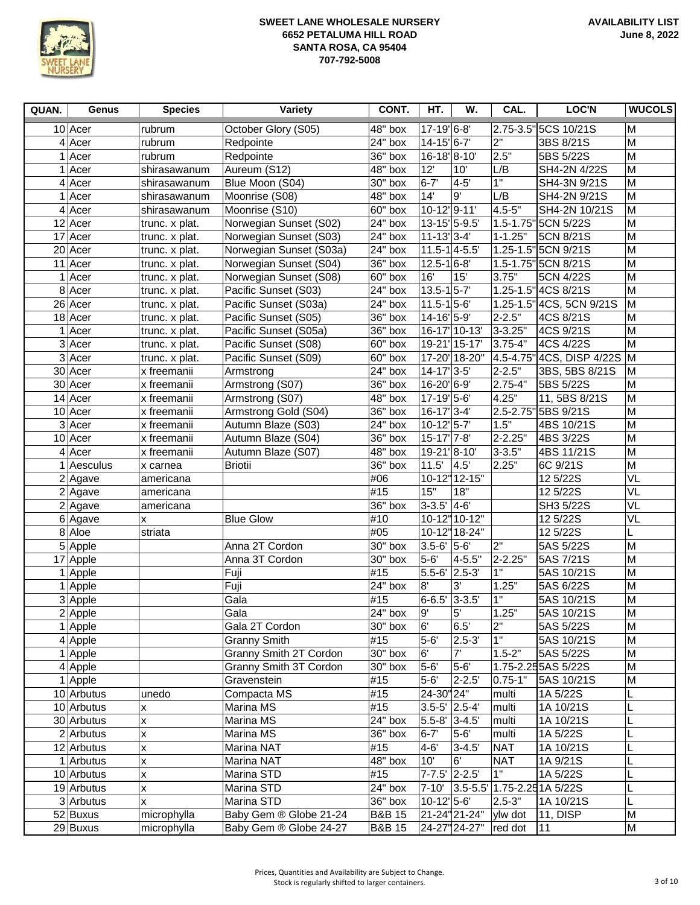

| QUAN. | Genus                | <b>Species</b>            | Variety                 | CONT.             | HT.                                    | W.                          | CAL.           | LOC'N                            | <b>WUCOLS</b>  |
|-------|----------------------|---------------------------|-------------------------|-------------------|----------------------------------------|-----------------------------|----------------|----------------------------------|----------------|
|       | $10$ Acer            | rubrum                    | October Glory (S05)     | 48" box           | 17-19 6-8                              |                             |                | 2.75-3.5" 5CS 10/21S             | M              |
|       | $4$ Acer             | rubrum                    | Redpointe               | 24" box           | 14-15'6-7'                             |                             | 2"             | 3BS 8/21S                        | M              |
|       | 1 Acer               | rubrum                    | Redpointe               | 36" box           | 16-18 8-10                             |                             | 2.5"           | 5BS 5/22S                        | M              |
|       | 1 Acer               | shirasawanum              | Aureum (S12)            | 48" box           | 12'                                    | 10'                         | L/B            | SH4-2N 4/22S                     | M              |
|       | $4$ Acer             | shirasawanum              | Blue Moon (S04)         | 30" box           | $6 - 7'$                               | $4-5$                       | 1"             | SH4-3N 9/21S                     | M              |
|       | $1$ Acer             | shirasawanum              | Moonrise (S08)          | 48" box           | 14'                                    | 9'                          | L/B            | SH4-2N 9/21S                     | M              |
|       | $4$ Acer             | shirasawanum              | Moonrise (S10)          | 60" box           | 10-12'9-11'                            |                             | 4.5-5"         | SH4-2N 10/21S                    | M              |
|       | $12$ Acer            | trunc. x plat.            | Norwegian Sunset (S02)  | 24" box           | 13-15 5-9.5                            |                             | $1.5 - 1.75$ " | 5CN 5/22S                        | M              |
|       | $17$ Acer            | trunc. x plat.            | Norwegian Sunset (S03)  | 24" box           | $11-13$ <sup>2</sup> $-4$              |                             | $1 - 1.25"$    | 5CN 8/21S                        | $\overline{M}$ |
|       | 20 Acer              | trunc. x plat.            | Norwegian Sunset (S03a) | 24" box           | $11.5 - 1$ 4-5.5                       |                             |                | 1.25-1.5" 5CN 9/21S              | M              |
|       | $11$ Acer            | trunc. x plat.            | Norwegian Sunset (S04)  | 36" box           | $12.5 - 16 - 8$                        |                             |                | 1.5-1.75" 5CN 8/21S              | M              |
|       | 1 Acer               | trunc. x plat.            | Norwegian Sunset (S08)  | 60" box           | 16'                                    | 15'                         | 3.75"          | 5CN 4/22S                        | M              |
|       | 8 Acer               | trunc. x plat.            | Pacific Sunset (S03)    | 24" box           | $13.5 - 1$ 5-7                         |                             | $1.25 - 1.5"$  | 4CS 8/21S                        | $\overline{M}$ |
|       | 26 Acer              | trunc. x plat.            | Pacific Sunset (S03a)   | 24" box           | $11.5 - 15 - 6$                        |                             |                | 1.25-1.5" 4CS, 5CN 9/21S         | M              |
|       | $18$ Acer            | trunc. x plat.            | Pacific Sunset (S05)    | 36" box           | 14-16 5-9                              |                             | 2-2.5"         | 4CS 8/21S                        | $\overline{M}$ |
|       | 1 Acer               | trunc. x plat.            | Pacific Sunset (S05a)   | 36" box           |                                        | 16-17 10-13                 | 3-3.25"        | 4CS 9/21S                        | $\overline{M}$ |
|       | 3 Acer               | trunc. x plat.            | Pacific Sunset (S08)    | 60" box           |                                        | 19-21 15-17                 | $3.75 - 4"$    | 4CS 4/22S                        | M              |
|       | 3 Acer               | trunc. x plat.            | Pacific Sunset (S09)    | 60" box           |                                        | 17-20 18-20"                |                | 4.5-4.75" 4CS, DISP 4/22S M      |                |
|       | 30 Acer              | x freemanii               | Armstrong               | 24" box           | 14-17 3-5                              |                             | 2-2.5"         | 3BS, 5BS 8/21S                   | M              |
|       | 30 Acer              | x freemanii               | Armstrong (S07)         | 36" box           | 16-20 6-9                              |                             | 2.75-4"        | 5BS 5/22S                        | M              |
|       | $14$ Acer            | x freemanii               | Armstrong (S07)         | 48" box           | 17-19 5-6                              |                             | 4.25"          | 11, 5BS 8/21S                    | $\overline{M}$ |
|       | 10 Acer              | x freemanii               | Armstrong Gold (S04)    | 36" box           | $16-17$ <sup>2</sup> $-4$ <sup>'</sup> |                             |                | 2.5-2.75" 5BS 9/21S              | M              |
|       | 3 Acer               | x freemanii               | Autumn Blaze (S03)      | 24" box           | $10-12$ <sup>1</sup> 5-7               |                             | 1.5"           | 4BS 10/21S                       | $\overline{M}$ |
|       | $10$ Acer            | x freemanii               | Autumn Blaze (S04)      | 36" box           | 15-17' 7-8'                            |                             | 2-2.25"        | 4BS 3/22S                        | M              |
|       | $4$ Acer             | x freemanii               | Autumn Blaze (S07)      | 48" box           | 19-21'8-10'                            |                             | $3 - 3.5"$     | 4BS 11/21S                       | M              |
|       | $1$ Aesculus         | x carnea                  | <b>Briotii</b>          | 36" box           | 11.5'                                  | 4.5'                        | 2.25"          | 6C 9/21S                         | M              |
|       | $2$ Agave            | americana                 |                         | #06               |                                        | $\overline{10}$ -12" 12-15" |                | 12 5/22S                         | VL             |
|       | $\overline{2}$ Agave | americana                 |                         | #15               | 15"                                    | 18"                         |                | 12 5/22S                         | VL             |
|       | $2$ Agave            | americana                 |                         | 36" box           | $3-3.5'$ 4-6                           |                             |                | SH3 5/22S                        | VL             |
|       | 6 Agave              | X                         | <b>Blue Glow</b>        | #10               |                                        | 10-12"10-12"                |                | 12 5/22S                         | VL             |
|       | 8 Aloe               | striata                   |                         | #05               |                                        | 10-12" 18-24"               |                | 12 5/22S                         |                |
|       | $\overline{5}$ Apple |                           | Anna 2T Cordon          | 30" box           | $3.5 - 6'$ 5-6                         |                             | 2"             | 5AS 5/22S                        | M              |
|       | 17 Apple             |                           | Anna 3T Cordon          | 30" box           | $5-6'$                                 | $4 - 5.5$                   | 2-2.25"        | 5AS 7/21S                        | M              |
|       | 1 Apple              |                           | Fuji                    | #15               | 5.5-6' 2.5-3'                          |                             | 1"             | 5AS 10/21S                       | $\overline{M}$ |
|       | $1$ Apple            |                           | Fuji                    | 24" box           | 8'                                     | 3,                          | 1.25"          | 5AS 6/22S                        | M              |
|       | 3 Apple              |                           | Gala                    | #15               | $6 - 6.5'$                             | $ 3 - 3.5 $                 | 1"             | 5AS 10/21S                       | M              |
|       | $2$ Apple            |                           | Gala                    | 24" box           | 9'                                     | 5'                          | 1.25"          | 5AS 10/21S                       | $\overline{M}$ |
|       | 1 Apple              |                           | Gala 2T Cordon          | 30" box           | 6'                                     | 6.5'                        | 2"             | 5AS 5/22S                        | M              |
|       | $4$ Apple            |                           | <b>Granny Smith</b>     | #15               | $5-6'$                                 | $2.5 - 3'$                  | $\overline{1}$ | 5AS 10/21S                       | M              |
|       | $1$ Apple            |                           | Granny Smith 2T Cordon  | 30" box           | 6'                                     | 7'                          | $1.5 - 2"$     | 5AS 5/22S                        | M              |
|       | $4$ Apple            |                           | Granny Smith 3T Cordon  | 30" box           | $5-6$                                  | $5-6'$                      |                | 1.75-2.25 5AS 5/22S              | M              |
|       | $1$ Apple            |                           | Gravenstein             | #15               | $5-6'$                                 | $2 - 2.5'$                  | $ 0.75 - 1"$   | 5AS 10/21S                       | ${\sf M}$      |
|       | 10 Arbutus           | unedo                     | Compacta MS             | #15               | 24-30"24"                              |                             | multi          | 1A 5/22S                         | L              |
|       | 10 Arbutus           | x                         | Marina MS               | #15               | $3.5 - 5'$ 2.5-4                       |                             | multi          | 1A 10/21S                        | L              |
|       | 30 Arbutus           | X                         | Marina MS               | 24" box           | 5.5-8' 3-4.5'                          |                             | multi          | 1A 10/21S                        | L              |
|       | $2$ Arbutus          | X                         | Marina MS               | 36" box           | $6 - 7'$                               | $5-6'$                      | multi          | 1A 5/22S                         | L              |
|       | 12 Arbutus           | $\pmb{\mathsf{x}}$        | Marina NAT              | #15               | $4-6'$                                 | $3 - 4.5'$                  | <b>NAT</b>     | 1A 10/21S                        |                |
|       | 1 Arbutus            | X                         | Marina NAT              | 48" box           | 10'                                    | 6'                          | <b>NAT</b>     | 1A 9/21S                         |                |
|       | 10 Arbutus           | X                         | Marina STD              | #15               | 7-7.5' 2-2.5'                          |                             | 1"             | 1A 5/22S                         |                |
|       | 19 Arbutus           | X                         | Marina STD              | 24" box           | $7 - 10'$                              |                             |                | $ 3.5 - 5.5 $ 1.75-2.25 1A 5/22S |                |
|       | 3 Arbutus            | $\boldsymbol{\mathsf{x}}$ | Marina STD              | 36" box           | 10-12' 5-6'                            |                             | $2.5 - 3"$     | 1A 10/21S                        | L              |
|       | 52 Buxus             | microphylla               | Baby Gem ® Globe 21-24  | <b>B&amp;B 15</b> |                                        | 21-24" 21-24"   ylw dot     |                | 11, DISP                         | M              |
|       | 29 Buxus             | microphylla               | Baby Gem ® Globe 24-27  | <b>B&amp;B 15</b> |                                        | 24-27" 24-27"               | red dot        | 11                               | M              |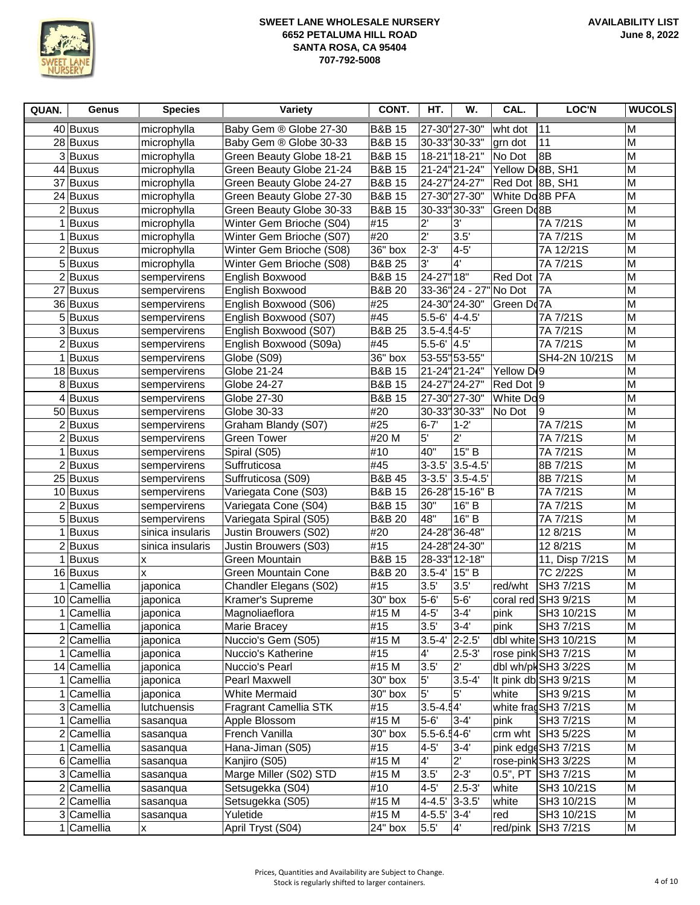

| QUAN. | Genus            | <b>Species</b>   | Variety                      | CONT.             | HT.              | W.                            | CAL.                   | <b>LOC'N</b>           | <b>WUCOLS</b> |
|-------|------------------|------------------|------------------------------|-------------------|------------------|-------------------------------|------------------------|------------------------|---------------|
|       | 40 Buxus         | microphylla      | Baby Gem ® Globe 27-30       | <b>B&amp;B 15</b> |                  | 27-30"27-30"                  | wht dot                | 11                     | M             |
|       | 28 Buxus         | microphylla      | Baby Gem ® Globe 30-33       | <b>B&amp;B 15</b> |                  | 30-33" 30-33"                 | grn dot                | 11                     | M             |
|       | 3Buxus           | microphylla      | Green Beauty Globe 18-21     | <b>B&amp;B 15</b> |                  | 18-21" 18-21"                 | No Dot                 | 8B                     | M             |
|       | 44 Buxus         | microphylla      | Green Beauty Globe 21-24     | <b>B&amp;B 15</b> |                  | 21-24" 21-24"                 | Yellow D(8B, SH1       |                        | M             |
|       | 37 Buxus         | microphylla      | Green Beauty Globe 24-27     | <b>B&amp;B 15</b> |                  | 24-27" 24-27"                 | Red Dot 8B, SH1        |                        | M             |
|       | 24 Buxus         | microphylla      | Green Beauty Globe 27-30     | <b>B&amp;B 15</b> |                  | 27-30"27-30"                  | White Do 8B PFA        |                        | M             |
|       | $2$ <b>Buxus</b> | microphylla      | Green Beauty Globe 30-33     | <b>B&amp;B 15</b> |                  | 30-33" 30-33"                 | Green Do8B             |                        | M             |
|       | 1 Buxus          | microphylla      | Winter Gem Brioche (S04)     | #15               | $2^{\prime}$     | 3'                            |                        | 7A 7/21S               | M             |
|       | $1$ <b>Buxus</b> | microphylla      | Winter Gem Brioche (S07)     | #20               | $\overline{2}$   | 3.5'                          |                        | 7A 7/21S               | M             |
|       | $2$ Buxus        | microphylla      | Winter Gem Brioche (S08)     | 36" box           | $2 - 3'$         | $4-5$                         |                        | 7A 12/21S              | M             |
|       | 5 Buxus          | microphylla      | Winter Gem Brioche (S08)     | <b>B&amp;B 25</b> | 3'               | $4^{\prime}$                  |                        | 7A 7/21S               | M             |
|       | $2$ <b>Buxus</b> | sempervirens     | English Boxwood              | <b>B&amp;B 15</b> | 24-27"18"        |                               | Red Dot                | <b>7A</b>              | M             |
|       | 27 Buxus         | sempervirens     | English Boxwood              | <b>B&amp;B 20</b> |                  | 33-36" 24 - 27" No Dot        |                        | 7A                     | M             |
|       | 36 Buxus         | sempervirens     | English Boxwood (S06)        | #25               |                  | 24-30" 24-30"                 | Green Do7A             |                        | M             |
|       | 5 Buxus          | sempervirens     | English Boxwood (S07)        | #45               | $5.5 - 6'$ 4-4.5 |                               |                        | 7A 7/21S               | M             |
|       | 3Buxus           | sempervirens     | English Boxwood (S07)        | <b>B&amp;B 25</b> | $3.5 - 4.54 - 5$ |                               |                        | 7A 7/21S               | M             |
|       | 2Buxus           | sempervirens     | English Boxwood (S09a)       | #45               | $5.5 - 6'$ 4.5'  |                               |                        | 7A 7/21S               | M             |
|       | 1 Buxus          | sempervirens     | Globe (S09)                  | 36" box           |                  | 53-55" 53-55"                 |                        | SH4-2N 10/21S          | M             |
|       | 18 Buxus         | sempervirens     | Globe 21-24                  | <b>B&amp;B 15</b> |                  | 21-24"21-24"                  | Yellow D <sub>19</sub> |                        | M             |
|       | 8Buxus           | sempervirens     | Globe 24-27                  | <b>B&amp;B 15</b> |                  | 24-27" 24-27"                 | Red Dot 9              |                        | M             |
|       | $4$ Buxus        | sempervirens     | Globe 27-30                  | <b>B&amp;B 15</b> |                  | 27-30" 27-30"                 | White Do <sub>9</sub>  |                        | M             |
|       | 50 Buxus         | sempervirens     | Globe 30-33                  | #20               |                  | 30-33"30-33"                  | No Dot                 | 9                      | M             |
|       | $2$ Buxus        | sempervirens     | Graham Blandy (S07)          | #25               | $6 - 7'$         | $1 - 2$                       |                        | 7A 7/21S               | M             |
|       | $2$ <b>Buxus</b> | sempervirens     | <b>Green Tower</b>           | #20 M             | 5'               | $\overline{2}$                |                        | 7A 7/21S               | M             |
|       | 1 Buxus          | sempervirens     | Spiral (S05)                 | #10               | 40"              | 15" B                         |                        | 7A 7/21S               | M             |
|       | $2$ Buxus        | sempervirens     | Suffruticosa                 | #45               | $3 - 3.5'$       | $3.5 - 4.5'$                  |                        | 8B 7/21S               | M             |
|       | 25 Buxus         | sempervirens     | Suffruticosa (S09)           | <b>B&amp;B 45</b> |                  | $3-3.5$ <sup>'</sup> 3.5-4.5' |                        | 8B 7/21S               | M             |
|       | 10 Buxus         | sempervirens     | Variegata Cone (S03)         | <b>B&amp;B 15</b> |                  | 26-28"15-16" B                |                        | 7A 7/21S               | M             |
|       | $2$ Buxus        | sempervirens     | Variegata Cone (S04)         | <b>B&amp;B 15</b> | 30"              | 16" B                         |                        | 7A 7/21S               | M             |
|       | 5Buxus           | sempervirens     | Variegata Spiral (S05)       | <b>B&amp;B 20</b> | 48"              | 16" B                         |                        | 7A 7/21S               | M             |
|       | 1 Buxus          | sinica insularis | Justin Brouwers (S02)        | #20               |                  | 24-28"36-48"                  |                        | 12 8/21S               | M             |
|       | $2$ Buxus        | sinica insularis | Justin Brouwers (S03)        | #15               |                  | 24-28" 24-30"                 |                        | 12 8/21S               | M             |
|       | 1 Buxus          | x                | Green Mountain               | <b>B&amp;B 15</b> |                  | 28-33" 12-18"                 |                        | 11, Disp 7/21S         | M             |
|       | 16 Buxus         | x                | Green Mountain Cone          | <b>B&amp;B 20</b> | $3.5 - 4'$       | 15" B                         |                        | 7C 2/22S               | M             |
|       | Camellia         | japonica         | Chandler Elegans (S02)       | #15               | 3.5'             | 3.5'                          | red/wht                | SH3 7/21S              | M             |
|       | 10 Camellia      | japonica         | Kramer's Supreme             | 30" box           | $5-6'$           | $5-6'$                        |                        | coral red SH3 $9/21S$  | M             |
|       | $1$ Camellia     | japonica         | Magnoliaeflora               | #15 M             | $4 - 5'$         | $3 - 4$                       | pink                   | SH3 10/21S             | M             |
|       | 1 Camellia       | japonica         | Marie Bracey                 | #15               | 3.5'             | $3-4'$                        | pink                   | SH3 7/21S              | M             |
|       | $2$ Camellia     | japonica         | Nuccio's Gem (S05)           | #15 M             | $3.5 - 4'$ 2-2.5 |                               |                        | dbl white SH3 10/21S   | M             |
|       | $1$ Camellia     | japonica         | Nuccio's Katherine           | #15               | 4'               | $2.5 - 3'$                    |                        | rose pink SH3 7/21S    | M             |
|       | 14 Camellia      | japonica         | Nuccio's Pearl               | #15 M             | 3.5'             | $2^{\prime}$                  |                        | dbl wh/pkSH3 3/22S     | M             |
|       | 1 Camellia       | japonica         | Pearl Maxwell                | 30" box           | $5^{\prime}$     | $3.5 - 4'$                    |                        | It pink db SH3 9/21S   | M             |
| 1     | Camellia         | japonica         | <b>White Mermaid</b>         | 30" box           | $5^{\circ}$      | 5'                            | white                  | SH3 9/21S              | M             |
|       | 3 Camellia       | lutchuensis      | <b>Fragrant Camellia STK</b> | #15               | $3.5 - 4.54'$    |                               |                        | white frag SH3 $7/21S$ | M             |
|       | 1 Camellia       | sasanqua         | Apple Blossom                | #15 M             | $5-6$            | $ 3 - 4 $                     | pink                   | SH3 7/21S              | M             |
|       | $2$ Camellia     | sasanqua         | French Vanilla               | 30" box           | 5.5-6.54-6       |                               |                        | crm wht $ SH3 5/22S$   | M             |
|       | 1 Camellia       | sasanqua         | Hana-Jiman (S05)             | #15               | $4-5$            | $3 - 4'$                      |                        | pink edgeSH3 7/21S     | M             |
|       | 6 Camellia       | sasanqua         | Kanjiro (S05)                | #15 M             | $4^{\circ}$      | $\overline{2}$                |                        | rose-pink SH3 3/22S    | M             |
|       | 3 Camellia       | sasanqua         | Marge Miller (S02) STD       | #15 M             | 3.5'             | $2 - 3'$                      |                        | 0.5", PT SH3 7/21S     | M             |
|       | $2$ Camellia     | sasanqua         | Setsugekka (S04)             | #10               | $4-5$            | $2.5 - 3'$                    | white                  | SH3 10/21S             | M             |
|       | $2$ Camellia     | sasanqua         | Setsugekka (S05)             | #15 M             | 4-4.5' 3-3.5'    |                               | white                  | SH3 10/21S             | M             |
|       | 3 Camellia       | sasanqua         | Yuletide                     | #15 M             | 4-5.5' 3-4'      |                               | red                    | SH3 10/21S             | M             |
|       | $1$ Camellia     | X                | April Tryst (S04)            | 24" box           | $5.5^{\circ}$    | $\mathbf{4}^{\prime}$         |                        | red/pink SH3 7/21S     | M             |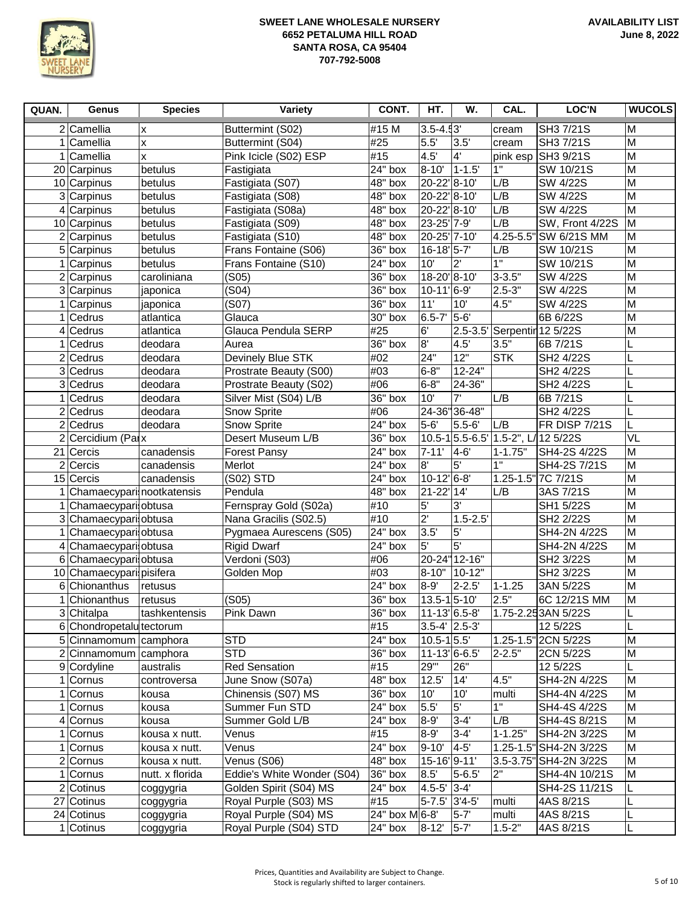

| QUAN.        | Genus                       | <b>Species</b>  | Variety                    | CONT.                 | HT.                      | W.             | CAL.                               | LOC'N                      | <b>WUCOLS</b>  |
|--------------|-----------------------------|-----------------|----------------------------|-----------------------|--------------------------|----------------|------------------------------------|----------------------------|----------------|
|              | $2$ Camellia                | x               | Buttermint (S02)           | #15 M                 | $3.5 - 4.53'$            |                | cream                              | SH3 7/21S                  | M              |
|              | 1 Camellia                  | X               | Buttermint (S04)           | #25                   | 5.5'                     | 3.5'           | cream                              | SH3 7/21S                  | M              |
|              | 1 Camellia                  | X               | Pink Icicle (S02) ESP      | #15                   | 4.5'                     | $4^{\circ}$    | pink esp                           | SH3 9/21S                  | M              |
|              | 20 Carpinus                 | betulus         | Fastigiata                 | 24" box               | 8-10                     | $1 - 1.5'$     | 1"                                 | SW 10/21S                  | M              |
|              | 10 Carpinus                 | betulus         | Fastigiata (S07)           | 48" box               | 20-22'8-10'              |                | L/B                                | <b>SW 4/22S</b>            | M              |
|              | 3 Carpinus                  | betulus         | Fastigiata (S08)           | 48" box               | 20-22' 8-10'             |                | L/B                                | SW 4/22S                   | M              |
|              | $4$ Carpinus                | betulus         | Fastigiata (S08a)          | 48" box               | 20-22' 8-10'             |                | L/B                                | <b>SW 4/22S</b>            | M              |
|              | 10 Carpinus                 | betulus         | Fastigiata (S09)           | 48" box               | 23-25' 7-9'              |                | L/B                                | SW, Front 4/22S            | M              |
|              | $2$ Carpinus                | betulus         | Fastigiata (S10)           | 48" box               | 20-25' 7-10'             |                | $4.25 - 5.5'$                      | "SW 6/21S MM               | M              |
|              | 5 Carpinus                  | betulus         | Frans Fontaine (S06)       | 36" box               | 16-18 5-7                |                | L/B                                | SW 10/21S                  | M              |
| $\mathbf{1}$ | Carpinus                    | betulus         | Frans Fontaine (S10)       | 24" box               | 10'                      | $2^{\prime}$   | 1"                                 | SW 10/21S                  | M              |
|              | $2$ Carpinus                | caroliniana     | (S05)                      | 36" box               | 18-20'8-10'              |                | $3 - 3.5"$                         | SW 4/22S                   | M              |
|              | 3 Carpinus                  | japonica        | (S04)                      | 36" box               | 10-11 6-9                |                | $2.5 - 3"$                         | SW 4/22S                   | M              |
| 1            | Carpinus                    | japonica        | (S07)                      | 36" box               | 11'                      | 10'            | 4.5"                               | SW 4/22S                   | M              |
| 1            | Cedrus                      | atlantica       | Glauca                     | 30" box               | $6.5 - 7'$               | 5-6            |                                    | 6B 6/22S                   | M              |
|              | $4$ Cedrus                  | atlantica       | Glauca Pendula SERP        | #25                   | 6'                       |                |                                    | 2.5-3.5 Serpentir 12 5/22S | M              |
|              | $1$ Cedrus                  | deodara         | Aurea                      | 36" box               | $\overline{8}$           | 4.5            | 3.5"                               | 6B 7/21S                   | L              |
|              | $2$ Cedrus                  | deodara         | Devinely Blue STK          | #02                   | 24"                      | 12"            | <b>STK</b>                         | SH2 4/22S                  | L              |
|              | 3 Cedrus                    | deodara         | Prostrate Beauty (S00)     | #03                   | $6 - 8"$                 | 12-24"         |                                    | SH2 4/22S                  | L              |
|              | 3 Cedrus                    | deodara         | Prostrate Beauty (S02)     | #06                   | $6 - 8"$                 | 24-36"         |                                    | SH2 4/22S                  | L              |
|              | $1$ Cedrus                  | deodara         | Silver Mist (S04) L/B      | $36"$ box             | 10'                      | 7'             | L/B                                | 6B 7/21S                   | L              |
|              | $2$ Cedrus                  | deodara         | Snow Sprite                | #06                   |                          | 24-36"36-48"   |                                    | SH2 4/22S                  | L              |
|              | $2$ Cedrus                  | deodara         | Snow Sprite                | 24" box               | $5-6$                    | $5.5 - 6'$     | L/B                                | <b>FR DISP 7/21S</b>       | L              |
|              | 2 Cercidium (Parx           |                 | Desert Museum L/B          | $36"$ box             |                          |                | 10.5-1 5.5-6.5' 1.5-2", L/12 5/22S |                            | VL             |
|              | 21 Cercis                   | canadensis      | <b>Forest Pansy</b>        | $24"$ box             | $7 - 11'$                | $4-6$          | $1 - 1.75"$                        | SH4-2S 4/22S               | M              |
|              | $2$ Cercis                  | canadensis      | Merlot                     | 24" box               | 8'                       | 5 <sup>1</sup> | 1"                                 | SH4-2S 7/21S               | M              |
|              | 15 Cercis                   | canadensis      | (S02) STD                  | 24" box               | 10-12'6-8'               |                |                                    | 1.25-1.5" 7C 7/21S         | M              |
|              | 1 Chamaecypari nootkatensis |                 | Pendula                    | 48" box               | 21-22 14                 |                | L/B                                | 3AS 7/21S                  | $\overline{M}$ |
|              | 1 Chamaecypari obtusa       |                 | Fernspray Gold (S02a)      | #10                   | 5'                       | 3'             |                                    | SH1 5/22S                  | M              |
|              | 3 Chamaecypari obtusa       |                 | Nana Gracilis (S02.5)      | #10                   | $2^{\prime}$             | $1.5 - 2.5$    |                                    | SH2 2/22S                  | M              |
| 1            | Chamaecypari obtusa         |                 | Pygmaea Aurescens (S05)    | 24" box               | 3.5'                     | 5'             |                                    | SH4-2N 4/22S               | M              |
|              | 4 Chamaecypari obtusa       |                 | <b>Rigid Dwarf</b>         | 24" box               | 5'                       | 5'             |                                    | SH4-2N 4/22S               | M              |
|              | 6 Chamaecypari obtusa       |                 | Verdoni (S03)              | #06                   |                          | 20-24" 12-16"  |                                    | SH2 3/22S                  | M              |
|              | 10 Chamaecypari pisifera    |                 | Golden Mop                 | #03                   |                          | 8-10"   10-12" |                                    | SH2 3/22S                  | M              |
|              | 6 Chionanthus               | retusus         |                            | 24" box               | $8-9'$                   | $2 - 2.5'$     | $1 - 1.25$                         | 3AN 5/22S                  | M              |
| 1            | Chionanthus                 | retusus         | (S05)                      | 36" box               | $13.5 - 1$ 5-10          |                | 2.5"                               | 6C 12/21S MM               | M              |
|              | 3 Chitalpa                  | tashkentensis   | Pink Dawn                  | 36" box               | $11-13$ <sup>6.5-8</sup> |                |                                    | 1.75-2.253AN 5/22S         |                |
|              | 6 Chondropetalu tectorum    |                 |                            | #15                   | 3.5-4' 2.5-3'            |                |                                    | 12 5/22S                   |                |
| 5            | Cinnamomum camphora         |                 | <b>STD</b>                 | 24" box               | $10.5 - 1$ 5.5'          |                |                                    | 1.25-1.5" 2CN 5/22S        | M              |
|              | 2 Cinnamomum camphora       |                 | <b>STD</b>                 | 36" box               | 11-13 6-6.5              |                | $2 - 2.5"$                         | 2CN 5/22S                  | M              |
|              | 9 Cordyline                 | australis       | <b>Red Sensation</b>       | #15                   | 29"'                     | 26"            |                                    | 12 5/22S                   |                |
|              | 1 Cornus                    | controversa     | June Snow (S07a)           | 48" box               | 12.5'                    | 14'            | 4.5"                               | SH4-2N 4/22S               | M              |
|              | 1 Cornus                    | kousa           | Chinensis (S07) MS         | $36"$ box             | 10'                      | 10'            | multi                              | SH4-4N 4/22S               | M              |
|              | 1 Cornus                    | kousa           | Summer Fun STD             | 24" box               | 5.5'                     | 5'             | 1"                                 | SH4-4S 4/22S               | M              |
|              | $4$ Cornus                  | kousa           | Summer Gold L/B            | 24" box               | 8-9'                     | $3 - 4'$       | L/B                                | SH4-4S 8/21S               | M              |
|              | 1 Cornus                    | kousa x nutt.   | Venus                      | #15                   | $8-9'$                   | $3-4'$         | $1 - 1.25"$                        | SH4-2N 3/22S               | M              |
|              | 1 Cornus                    | kousa x nutt.   | Venus                      | 24" box               | $9 - 10'$                | $4-5$          |                                    | 1.25-1.5" SH4-2N 3/22S     | M              |
|              | $2$ Cornus                  | kousa x nutt.   | Venus (S06)                | 48" box               | 15-16 9-11               |                |                                    | 3.5-3.75" SH4-2N 3/22S     | M              |
|              | 1 Cornus                    | nutt. x florida | Eddie's White Wonder (S04) | $\overline{36}$ " box | 8.5'                     | $5 - 6.5'$     | 2"                                 | SH4-4N 10/21S              | M              |
|              | $2$ Cotinus                 | coggygria       | Golden Spirit (S04) MS     | 24" box               | 4.5-5' 3-4'              |                |                                    | SH4-2S 11/21S              |                |
|              | 27 Cotinus                  | coggygria       | Royal Purple (S03) MS      | #15                   | 5-7.5' 3'4-5'            |                | multi                              | 4AS 8/21S                  |                |
|              | 24 Cotinus                  | coggygria       | Royal Purple (S04) MS      | 24" box M 6-8"        |                          | $5-7'$         | multi                              | 4AS 8/21S                  |                |
|              | $1$ Cotinus                 | coggygria       | Royal Purple (S04) STD     | 24" box               | $8 - 12'$                | $5-7'$         | $1.5 - 2"$                         | 4AS 8/21S                  | L              |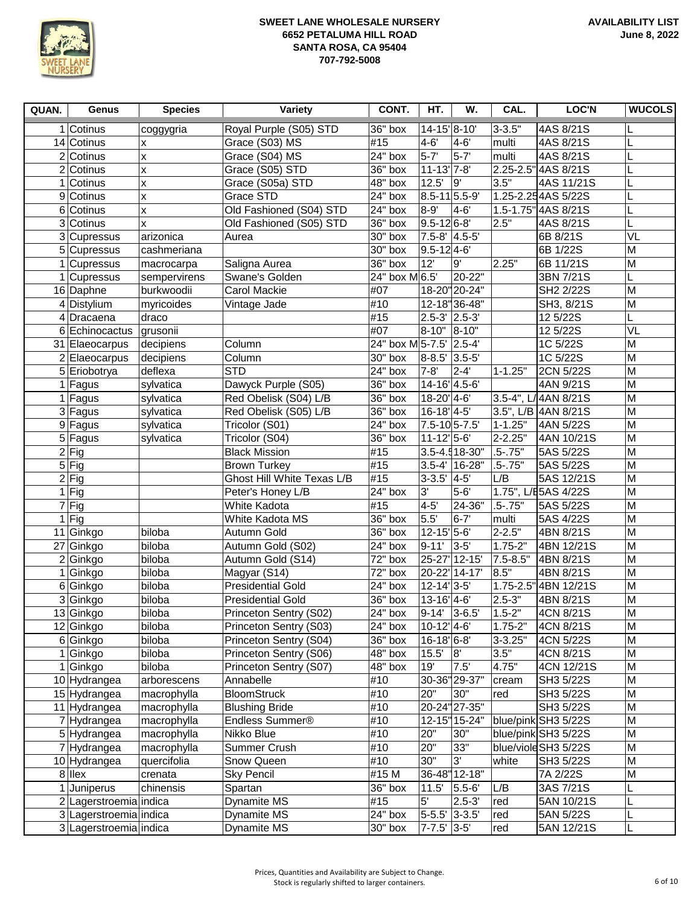

| QUAN. | Genus                     | <b>Species</b>         | Variety                                          | CONT.                   | HT.                              | W.                | CAL.        | <b>LOC'N</b>            | <b>WUCOLS</b>  |
|-------|---------------------------|------------------------|--------------------------------------------------|-------------------------|----------------------------------|-------------------|-------------|-------------------------|----------------|
|       | 1 Cotinus                 | coggygria              | Royal Purple (S05) STD                           | 36" box                 | 14-15'8-10'                      |                   | $3 - 3.5"$  | 4AS 8/21S               |                |
|       | 14 Cotinus                | x                      | Grace (S03) MS                                   | #15                     | $4 - 6'$                         | $4 - 6'$          | multi       | 4AS 8/21S               |                |
|       | 2 Cotinus                 | Χ                      | Grace (S04) MS                                   | $24"$ box               | $5 - 7'$                         | $5 - 7'$          | multi       | 4AS 8/21S               |                |
|       | 2 Cotinus                 | X                      | Grace (S05) STD                                  | 36" box                 | $11 - 13$ <sup>'</sup> 7-8'      |                   |             | 2.25-2.5" 4AS 8/21S     |                |
|       | 1 Cotinus                 | X                      | Grace (S05a) STD                                 | $48"$ box               | 12.5'                            | 9'                | 3.5"        | 4AS 11/21S              |                |
|       | 9 Cotinus                 | Χ                      | Grace STD                                        | 24" box                 | 8.5-11 5.5-9                     |                   |             | 1.25-2.254AS 5/22S      |                |
|       | 6 Cotinus                 | Χ                      | Old Fashioned (S04) STD                          | 24" box                 | 8-9                              | 4-6               |             | 1.5-1.75" 4AS 8/21S     |                |
|       | 3 Cotinus                 | X                      | Old Fashioned (S05) STD                          | 36" box                 | $9.5 - 126 - 8$                  |                   | 2.5"        | 4AS 8/21S               |                |
|       | 3 Cupressus               | arizonica              | Aurea                                            | 30" box                 | 7.5-8' 4.5-5'                    |                   |             | 6B 8/21S                | VL             |
|       | $5$ Cupressus             | cashmeriana            |                                                  | 30" box                 | $9.5 - 124 - 6$                  |                   |             | 6B 1/22S                | M              |
|       | 1 Cupressus               | macrocarpa             | Saligna Aurea                                    | 36" box                 | 12'                              | 9'                | 2.25"       | 6B 11/21S               | M              |
|       | 1 Cupressus               | sempervirens           | Swane's Golden                                   | 24" box M 6.5'          |                                  | 20-22"            |             | 3BN 7/21S               | L              |
|       | 16 Daphne                 | burkwoodii             | Carol Mackie                                     | #07                     |                                  | 18-20"20-24"      |             | SH2 2/22S               | M              |
|       | 4 Distylium               | myricoides             | Vintage Jade                                     | #10                     |                                  | 12-18"36-48"      |             | SH3, 8/21S              | M              |
|       | 4 Dracaena                | draco                  |                                                  | #15                     | $2.5 - 3'$ 2.5-3                 |                   |             | 12 5/22S                | L              |
|       | 6 Echinocactus            | grusonii               |                                                  | #07                     | 8-10" 8-10"                      |                   |             | 12 5/22S                | VL             |
|       | 31 Elaeocarpus            | decipiens              | Column                                           | 24" box M 5-7.5' 2.5-4' |                                  |                   |             | 1C 5/22S                | M              |
|       | 2 Elaeocarpus             | decipiens              | Column                                           | 30" box                 | 8-8.5' 3.5-5'                    |                   |             | 1C 5/22S                | M              |
|       | 5 Eriobotrya              | deflexa                | <b>STD</b>                                       | 24" box                 | $7 - 8'$                         | $2 - 4$           | $1 - 1.25"$ | 2CN 5/22S               | M              |
|       | 1 Fagus                   | sylvatica              | Dawyck Purple (S05)                              | $36"$ box               | 14-16 4.5-6                      |                   |             | 4AN 9/21S               | $\overline{M}$ |
|       | 1 Fagus                   | sylvatica              | Red Obelisk (S04) L/B                            | 36" box                 | 18-20' 4-6'                      |                   |             | 3.5-4", L/4AN 8/21S     | M              |
|       | 3 Fagus                   | sylvatica              | Red Obelisk (S05) L/B                            | 36" box                 | 16-18' 4-5'                      |                   |             | 3.5", L/B 4AN 8/21S     | M              |
|       | 9 Fagus                   | sylvatica              | Tricolor (S01)                                   | 24" box                 | 7.5-10 5-7.5                     |                   | $1 - 1.25"$ | 4AN 5/22S               | M              |
|       | $\overline{5}$ Fagus      | sylvatica              | Tricolor (S04)                                   | 36" box                 | $11 - 12' 5 - 6'$                |                   | $2 - 2.25"$ | 4AN 10/21S              | M              |
|       | $2$ Fig                   |                        | <b>Black Mission</b>                             | #15                     |                                  | 3.5-4.518-30"     | $.5 - .75"$ | 5AS 5/22S               | M              |
|       | $\overline{5}$ Fig        |                        | <b>Brown Turkey</b>                              | #15                     |                                  | $3.5 - 4'$ 16-28" | $.5 - .75$  | 5AS 5/22S               | M              |
|       | $2$ Fig                   |                        | Ghost Hill White Texas L/B                       | #15                     | $3-3.5'$ 4-5                     |                   | L/B         | 5AS 12/21S              | M              |
|       | $\overline{1}$ Fig        |                        | Peter's Honey L/B                                | $24"$ box               | 3'                               | $5 - 6'$          |             | 1.75", L/E5AS 4/22S     | M              |
|       | $7$ Fig                   |                        | White Kadota                                     | #15                     | $4-5$                            | 24-36"            | $.5 - .75"$ | 5AS 5/22S               | M              |
|       | $1$ Fig                   |                        | White Kadota MS                                  | 36" box                 | 5.5'                             | $6 - 7'$          | multi       | 5AS 4/22S               | M              |
|       | 11 Ginkgo                 | biloba                 | Autumn Gold                                      | $36"$ box               | $12 - 15' 5 - 6'$                |                   | $2 - 2.5"$  | 4BN 8/21S               | M              |
|       | 27 Ginkgo                 | biloba                 | Autumn Gold (S02)                                | 24" box                 | $9 - 11'$                        | $3-5$             | $1.75 - 2"$ | 4BN 12/21S              | M              |
|       | 2 Ginkgo                  | biloba                 | Autumn Gold (S14)                                | 72" box                 |                                  | 25-27 12-15       | 7.5-8.5"    | 4BN 8/21S               | M              |
|       | 1 Ginkgo                  | biloba                 | Magyar (S14)                                     | 72" box                 |                                  | 20-22 14-17       | 8.5"        | 4BN 8/21S               | M              |
|       | 6 Ginkgo                  | biloba                 | <b>Presidential Gold</b>                         | $24"$ box               | $12 - 14$ <sup>'</sup> $3 - 5$ ' |                   |             | 1.75-2.5" 4BN 12/21S    | M              |
|       | 3 Ginkgo                  | biloba                 | <b>Presidential Gold</b>                         | 36" box                 | 13-16' 4-6'                      |                   | $2.5 - 3"$  | 4BN 8/21S               | M              |
|       |                           | biloba                 |                                                  | $\sqrt{24}$ " box       | $9-14'$ 3-6.5'                   |                   | $1.5 - 2"$  | 4CN 8/21S               | M              |
|       | 13 Ginkgo<br>12 Ginkgo    | biloba                 | Princeton Sentry (S02)<br>Princeton Sentry (S03) | 24" box                 | 10-12'4-6'                       |                   | $1.75 - 2"$ | 4CN 8/21S               | M              |
|       | 6 Ginkgo                  | biloba                 | Princeton Sentry (S04)                           | 36" box                 | 16-18'6-8'                       |                   | $3 - 3.25"$ | 4CN 5/22S               | M              |
|       | 1 Ginkgo                  | biloba                 | Princeton Sentry (S06)                           | 48" box                 | $15.5'$ 8                        |                   | 3.5"        | 4CN 8/21S               | M              |
|       | 1 Ginkgo                  | biloba                 | Princeton Sentry (S07)                           | 48" box                 | 19'                              | 7.5               | 4.75"       | 4CN 12/21S              | M              |
|       | 10 Hydrangea              | arborescens            | Annabelle                                        | #10                     |                                  | 30-36"29-37"      | cream       | SH3 5/22S               | M              |
|       | 15 Hydrangea              | macrophylla            | <b>BloomStruck</b>                               | #10                     | 20"                              | 30"               | red         | SH3 5/22S               | M              |
|       | 11 Hydrangea              | macrophylla            | <b>Blushing Bride</b>                            | #10                     |                                  | 20-24" 27-35"     |             | SH3 5/22S               | M              |
|       | 7 Hydrangea               | macrophylla            | Endless Summer®                                  | #10                     |                                  | 12-15" 15-24"     |             | blue/pink SH3 5/22S     | M              |
|       | 5 Hydrangea               | macrophylla            | Nikko Blue                                       | #10                     | 20"                              | 30"               |             | blue/pink SH3 5/22S     | M              |
|       | 7 Hydrangea               | macrophylla            | Summer Crush                                     | #10                     | 20"                              | 33"               |             | blue/viole SH3 5/22S    | M              |
|       |                           |                        |                                                  | #10                     | 30"                              | $\overline{3}$    | white       |                         | M              |
|       | 10 Hydrangea<br>$8$  llex | quercifolia<br>crenata | Snow Queen<br><b>Sky Pencil</b>                  | #15 M                   |                                  | 36-48" 12-18"     |             | SH3 5/22S<br>7A 2/22S   | M              |
|       | 1 Juniperus               | chinensis              | Spartan                                          | 36" box                 | 11.5'                            | $5.5 - 6'$        | L/B         | 3AS 7/21S               |                |
|       | 2 Lagerstroemia indica    |                        |                                                  | #15                     | 5 <sup>′</sup>                   | $2.5 - 3'$        |             |                         | L              |
|       | 3 Lagerstroemia indica    |                        | Dynamite MS<br>Dynamite MS                       | $24"$ box               | 5-5.5' 3-3.5'                    |                   | red<br>red  | 5AN 10/21S<br>5AN 5/22S |                |
|       | 3 Lagerstroemia indica    |                        | Dynamite MS                                      | 30" box                 | 7-7.5' 3-5'                      |                   | red         | 5AN 12/21S              | L              |
|       |                           |                        |                                                  |                         |                                  |                   |             |                         |                |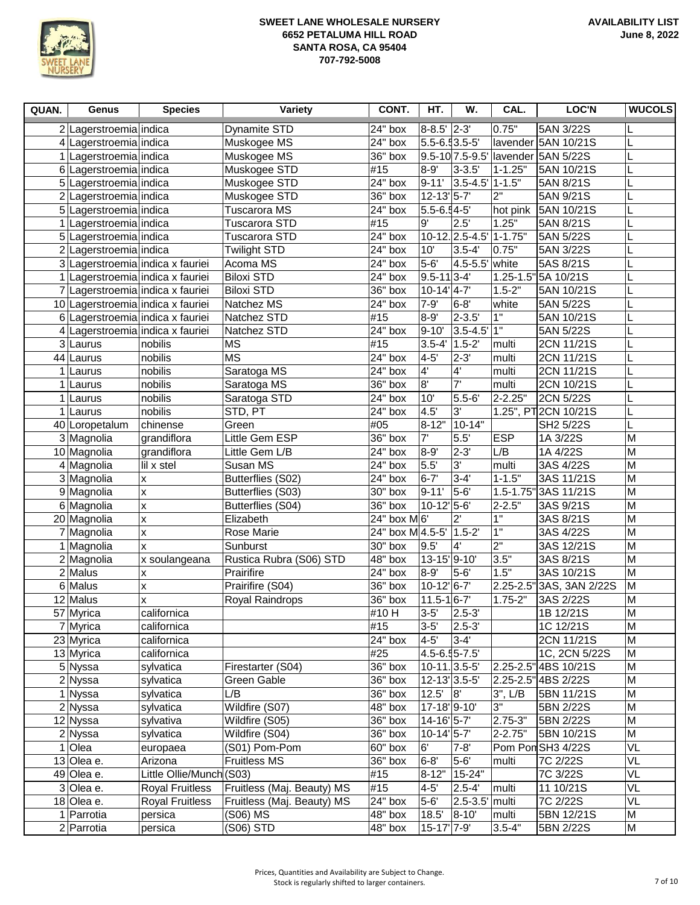

| QUAN.          | Genus                             | <b>Species</b>            | Variety                          | CONT.                  | HT.                           | W.                          | CAL.           | <b>LOC'N</b>                          | <b>WUCOLS</b>  |
|----------------|-----------------------------------|---------------------------|----------------------------------|------------------------|-------------------------------|-----------------------------|----------------|---------------------------------------|----------------|
|                | 2 Lagerstroemia indica            |                           | <b>Dynamite STD</b>              | 24" box                | 8-8.5' 2-3'                   |                             | 0.75"          | 5AN 3/22S                             |                |
|                | 4 Lagerstroemia indica            |                           | Muskogee MS                      | 24" box                | 5.5-6.53.5-5                  |                             |                | lavender 5AN 10/21S                   | L              |
|                | 1 Lagerstroemia indica            |                           | Muskogee MS                      | 36" box                |                               | 9.5-10 7.5-9.5              |                | lavender 5AN 5/22S                    | L              |
|                | 6 Lagerstroemia indica            |                           | Muskogee STD                     | #15                    | $8 - 9'$                      | $3 - 3.5'$                  | $1 - 1.25"$    | 5AN 10/21S                            | L              |
|                | 5 Lagerstroemia indica            |                           | Muskogee STD                     | 24" box                | $9 - 11'$                     | $3.5 - 4.5'$                | 1-1.5"         | 5AN 8/21S                             |                |
|                | 2 Lagerstroemia indica            |                           | Muskogee STD                     | 36" box                | 12-13'5-7'                    |                             | 2"             | 5AN 9/21S                             | L              |
|                | 5 Lagerstroemia indica            |                           | <b>Tuscarora MS</b>              | 24" box                | $5.5 - 6.54 - 5$              |                             | hot pink       | 5AN 10/21S                            | L              |
|                | 1   Lagerstroemia   indica        |                           | <b>Tuscarora STD</b>             | #15                    | 9'                            | 2.5'                        | 1.25"          | 5AN 8/21S                             | L              |
|                | 5 Lagerstroemia indica            |                           | <b>Tuscarora STD</b>             | $24"$ box              |                               | $10-12.2.5-4.5$             | $1 - 1.75"$    | 5AN 5/22S                             | L              |
|                | 2 Lagerstroemia indica            |                           | <b>Twilight STD</b>              | 24" box                | 10'                           | $3.5 - 4'$                  | 0.75"          | 5AN 3/22S                             | L              |
|                | 3 Lagerstroemia indica x fauriei  |                           | Acoma MS                         | 24" box                | $\overline{5-6}$              | $4.5 - 5.5'$                | white          | 5AS 8/21S                             | L              |
|                | 1 Lagerstroemia indica x fauriei  |                           | <b>Biloxi STD</b>                | 24" box                | $ 9.5 - 11 3 - 4$             |                             |                | 1.25-1.5" 5A 10/21S                   | L              |
|                | 7 Lagerstroemia indica x fauriei  |                           | <b>Biloxi STD</b>                | 36" box                | $10-14$ <sup>'</sup> 4-7'     |                             | $1.5 - 2"$     | 5AN 10/21S                            | L              |
|                | 10 Lagerstroemia indica x fauriei |                           | Natchez MS                       | 24" box                | $7 - 9'$                      | $6 - 8'$                    | white          | 5AN 5/22S                             |                |
|                | 6 Lagerstroemia indica x fauriei  |                           | Natchez STD                      | #15                    | $8 - 9'$                      | $2 - 3.5$                   | $\overline{1}$ | 5AN 10/21S                            |                |
|                | 4 Lagerstroemia indica x fauriei  |                           | Natchez STD                      | 24" box                | $9 - 10'$                     | $3.5 - 4.5$ <sup>'</sup> 1" |                | 5AN 5/22S                             |                |
|                | 3 Laurus                          | nobilis                   | <b>MS</b>                        | #15                    | $3.5 - 4'$ 1.5-2              |                             | multi          | 2CN 11/21S                            |                |
|                | 44 Laurus                         | nobilis                   | <b>MS</b>                        | 24" box                | $4-5$                         | $2 - 3$                     | multi          | 2CN 11/21S                            |                |
|                | 1 Laurus                          | nobilis                   | Saratoga MS                      | 24" box                | 4'                            | $\overline{4}$              | multi          | 2CN 11/21S                            |                |
| 1 <sup>1</sup> | Laurus                            | nobilis                   | Saratoga MS                      | 36" box                | $\overline{8}$                | $\mathbf{7}^{\prime}$       | multi          | 2CN 10/21S                            |                |
|                | 1 Laurus                          | nobilis                   | Saratoga STD                     | 24" box                | 10'                           | $5.5 - 6'$                  | $2 - 2.25"$    | 2CN 5/22S                             |                |
|                | 1 Laurus                          | nobilis                   | STD, PT                          | 24" box                | 4.5'                          | 3'                          |                | 1.25", PT 2CN 10/21S                  |                |
|                | 40 Loropetalum                    | chinense                  | Green                            | #05                    | 8-12"                         | $10 - 14"$                  |                | SH2 5/22S                             | L              |
|                | 3 Magnolia                        | grandiflora               | Little Gem ESP                   | 36" box                | 7'                            | 5.5'                        | <b>ESP</b>     | 1A 3/22S                              | M              |
|                | 10 Magnolia                       | grandiflora               | Little Gem L/B                   | 24" box                | $8 - 9'$                      | $2 - 3'$                    | L/B            | 1A 4/22S                              | M              |
|                | 4 Magnolia                        | lil x stel                | Susan MS                         | 24" box                | 5.5'                          | $3^{\circ}$                 | multi          | 3AS 4/22S                             | M              |
|                | 3 Magnolia                        | X                         | Butterflies (S02)                | 24" box                | $6 - 7'$                      | $3-4'$                      | $1 - 1.5"$     | 3AS 11/21S                            | M              |
|                | 9 Magnolia                        | X                         | Butterflies (S03)                | 30" box                | $9 - 11'$                     | $5-6$                       | $1.5 - 1.75$   | 3AS 11/21S                            | $\overline{M}$ |
|                | 6 Magnolia                        | $\boldsymbol{\mathsf{x}}$ | Butterflies (S04)                | 36" box                | 10-12' 5-6'                   |                             | $2 - 2.5"$     | 3AS 9/21S                             | M              |
|                | 20 Magnolia                       | x                         | Elizabeth                        | 24" box M6'            |                               | $2^{\prime}$                | 1"             | 3AS 8/21S                             | M              |
|                | 7 Magnolia                        | $\boldsymbol{\mathsf{x}}$ | Rose Marie                       | 24" box M 4.5-5"       |                               | $1.5 - 2$                   | 1"             | 3AS 4/22S                             | $\overline{M}$ |
|                | 1 Magnolia                        | lx.                       | Sunburst                         | 30" box                | 9.5'                          | $4^{\circ}$                 | 2"             | 3AS 12/21S                            | M              |
|                | 2 Magnolia                        | x soulangeana             | Rustica Rubra (S06) STD          | 48" box                | 13-15'9-10'                   |                             | 3.5"           | 3AS 8/21S                             | M              |
|                | $2$ Malus                         | $\boldsymbol{\mathsf{x}}$ | Prairifire                       | 24" box                | 8-9                           | $5-6$                       | 1.5"           | 3AS 10/21S                            | $\overline{M}$ |
|                | 6 Malus                           | X                         | Prairifire (S04)                 | 36" box                | 10-12' 6-7'                   |                             |                | 2.25-2.5" 3AS, 3AN 2/22S              | M              |
|                | 12 Malus                          | x                         | Royal Raindrops                  | 36" box                | $11.5 - 16 - 7'$              |                             | $1.75 - 2"$    | 3AS 2/22S                             | M              |
|                | 57 Myrica                         | californica               |                                  | #10H                   | $3 - 5'$                      | $2.5 - 3'$                  |                | 1B 12/21S                             | $\overline{M}$ |
|                | 7 Myrica                          | californica               |                                  | #15<br>$\sqrt{24}$ box | $3 - 5'$                      | $2.5 - 3'$                  |                | 1C 12/21S                             | M<br>M         |
|                | 23 Myrica                         | californica               |                                  |                        | $4-5$                         | $3-4$                       |                | 2CN 11/21S                            |                |
|                | 13 Myrica<br>5 Nyssa              | californica               |                                  | #25<br>36" box         | 4.5-6.55-7.5<br>$10-11.3.5-5$ |                             |                | 1C, 2CN 5/22S<br>2.25-2.5" 4BS 10/21S | M<br>M         |
|                | $2$ Nyssa                         | sylvatica                 | Firestarter (S04)<br>Green Gable | $36"$ box              | 12-13 3.5-5                   |                             |                | 2.25-2.5" 4BS 2/22S                   | M              |
|                | 1 Nyssa                           | sylvatica<br>sylvatica    | L/B                              | 36" box                | 12.5'                         | 8                           | $3$ ", $L/B$   | 5BN 11/21S                            | M              |
|                | $2$ Nyssa                         | sylvatica                 | Wildfire (S07)                   | $48"$ box              | $17 - 18$ <sup>'</sup> 9-10'  |                             | 3"             | 5BN 2/22S                             | M              |
|                | 12 Nyssa                          | sylvativa                 | Wildfire (S05)                   | 36" box                | 14-16' 5-7'                   |                             | 2.75-3"        | 5BN 2/22S                             | M              |
|                | $\overline{2}$ Nyssa              | sylvatica                 | Wildfire (S04)                   | 36" box                | 10-14' 5-7'                   |                             | 2-2.75"        | 5BN 10/21S                            | M              |
|                | $1$ Olea                          | europaea                  | (S01) Pom-Pom                    | 60" box                | 6'                            | $7 - 8'$                    |                | Pom Pon SH3 4/22S                     | VL             |
|                | 13 Olea e.                        | Arizona                   | <b>Fruitless MS</b>              | 36" box                | $6-8'$                        | $5-6'$                      | multi          | 7C 2/22S                              | VL             |
|                | 49 Olea e.                        | Little Ollie/Munch (S03)  |                                  | #15                    |                               | 8-12"   15-24"              |                | 7C 3/22S                              | VL             |
|                | 3 Olea e.                         | <b>Royal Fruitless</b>    | Fruitless (Maj. Beauty) MS       | #15                    | $4 - 5'$                      | $2.5 - 4'$                  | multi          | 11 10/21S                             | VL             |
|                | 18 Olea e.                        | <b>Royal Fruitless</b>    | Fruitless (Maj. Beauty) MS       | 24" box                | $5-6$                         | $2.5 - 3.5$ multi           |                | 7C 2/22S                              | VL             |
|                | 1 Parrotia                        | persica                   | (S06) MS                         | 48" box                | 18.5'                         | $8 - 10'$                   | multi          | 5BN 12/21S                            | M              |
|                | $2$ Parrotia                      | persica                   | (S06) STD                        | 48" box                | 15-17 7-9                     |                             | $3.5 - 4"$     | 5BN 2/22S                             | M              |
|                |                                   |                           |                                  |                        |                               |                             |                |                                       |                |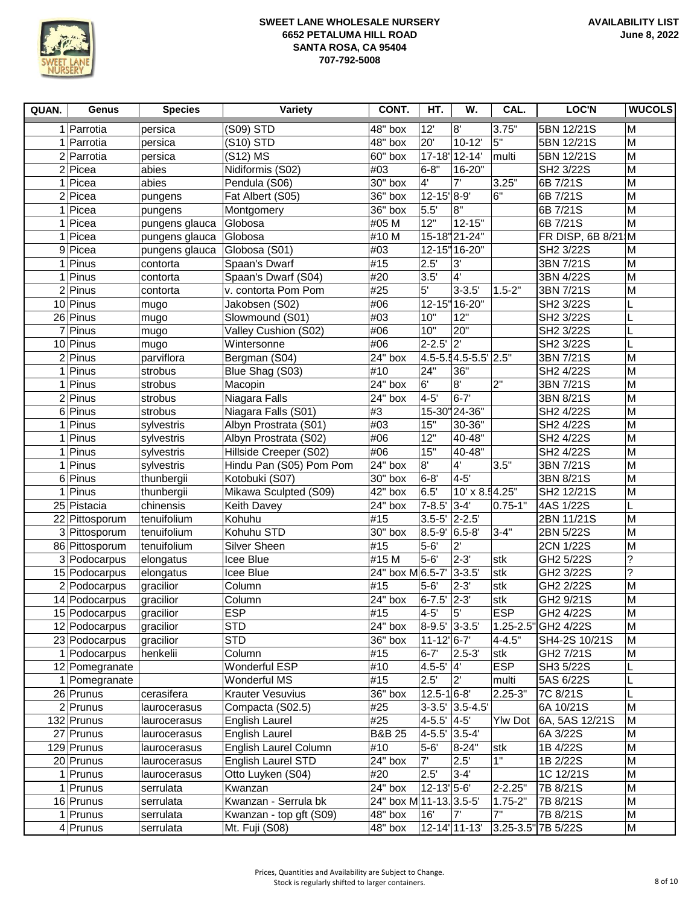

| QUAN. | Genus                | <b>Species</b> | Variety                 | CONT.                   | HT.                         | W.                   | CAL.           | <b>LOC'N</b>          | <b>WUCOLS</b>  |
|-------|----------------------|----------------|-------------------------|-------------------------|-----------------------------|----------------------|----------------|-----------------------|----------------|
|       | 1 Parrotia           | persica        | (S09) STD               | 48" box                 | 12'                         | 8'                   | 3.75"          | 5BN 12/21S            | M              |
|       | 1 Parrotia           | persica        | (S10) STD               | 48" box                 | 20'                         | $10 - 12'$           | 5"             | 5BN 12/21S            | M              |
|       | 2 Parrotia           | persica        | (S12) MS                | 60" box                 |                             | 17-18 12-14          | multi          | 5BN 12/21S            | M              |
|       | $2$ Picea            | abies          | Nidiformis (S02)        | #03                     | $6 - 8"$                    | 16-20"               |                | SH2 3/22S             | M              |
|       | 1 Picea              | abies          | Pendula (S06)           | 30" box                 | $4^{\circ}$                 | 7'                   | 3.25"          | 6B 7/21S              | M              |
| 2     | Picea                | pungens        | Fat Albert (S05)        | 36" box                 | 12-15'8-9'                  |                      | 6"             | 6B 7/21S              | M              |
|       | 1 Picea              | pungens        | Montgomery              | 36" box                 | 5.5'                        | 8"                   |                | 6B 7/21S              | M              |
|       | $1$ Picea            | pungens glauca | Globosa                 | #05 M                   | 12"                         | $12 - 15"$           |                | 6B 7/21S              | M              |
|       | 1 Picea              | pungens glauca | Globosa                 | #10 M                   |                             | 15-18 21-24"         |                | FR DISP, 6B 8/21 M    |                |
|       | 9 Picea              | pungens glauca | Globosa (S01)           | #03                     |                             | 12-15" 16-20"        |                | SH2 3/22S             | M              |
|       | $\overline{1}$ Pinus | contorta       | Spaan's Dwarf           | #15                     | 2.5'                        | 3'                   |                | 3BN 7/21S             | M              |
|       | $1$ Pinus            | contorta       | Spaan's Dwarf (S04)     | #20                     | 3.5'                        | $\overline{4}$       |                | 3BN 4/22S             | $\overline{M}$ |
|       | $\overline{2}$ Pinus | contorta       | v. contorta Pom Pom     | #25                     | 5 <sup>1</sup>              | $3 - 3.5'$           | $1.5 - 2"$     | 3BN 7/21S             | M              |
|       | $10$ Pinus           | mugo           | Jakobsen (S02)          | #06                     |                             | 12-15" 16-20"        |                | SH2 3/22S             | L              |
|       | 26 Pinus             | mugo           | Slowmound (S01)         | #03                     | 10"                         | 12"                  |                | SH2 3/22S             |                |
|       | 7 Pinus              | mugo           | Valley Cushion (S02)    | #06                     | 10"                         | 20"                  |                | SH2 3/22S             |                |
|       | 10 Pinus             | mugo           | Wintersonne             | #06                     | $2 - 2.5'$                  | $\overline{2}$       |                | SH2 3/22S             |                |
|       | $2$ Pinus            | parviflora     | Bergman (S04)           | 24" box                 |                             | 4.5-5.54.5-5.5' 2.5" |                | 3BN 7/21S             | M              |
|       | 1 Pinus              | strobus        | Blue Shag (S03)         | #10                     | 24"                         | 36"                  |                | SH2 4/22S             | M              |
|       | $1$ Pinus            | strobus        | Macopin                 | $24"$ box               | 6'                          | $\overline{8}$       | 2"             | 3BN 7/21S             | M              |
|       | $2$ Pinus            | strobus        | Niagara Falls           | 24" box                 | $4 - 5'$                    | $6 - 7'$             |                | 3BN 8/21S             | M              |
|       | 6 Pinus              | strobus        | Niagara Falls (S01)     | #3                      |                             | 15-30"24-36"         |                | SH <sub>2</sub> 4/22S | M              |
|       | 1 Pinus              | sylvestris     | Albyn Prostrata (S01)   | #03                     | 15"                         | 30-36"               |                | SH2 4/22S             | M              |
| 1     | Pinus                | sylvestris     | Albyn Prostrata (S02)   | #06                     | 12"                         | 40-48"               |                | SH2 4/22S             | M              |
|       | $1$ Pinus            | sylvestris     | Hillside Creeper (S02)  | #06                     | 15"                         | 40-48"               |                | SH2 4/22S             | M              |
| 1     | Pinus                | sylvestris     | Hindu Pan (S05) Pom Pom | 24" box                 | 8'                          | 4'                   | 3.5"           | 3BN 7/21S             | M              |
| 6     | Pinus                | thunbergii     | Kotobuki (S07)          | 30" box                 | $6 - 8'$                    | $4-5$                |                | 3BN 8/21S             | M              |
| 1     | Pinus                | thunbergii     | Mikawa Sculpted (S09)   | 42"<br>box              | 6.5'                        | 10' x 8.54.25"       |                | SH2 12/21S            | M              |
|       | 25 Pistacia          | chinensis      | <b>Keith Davey</b>      | 24" box                 | $7 - 8.5'$                  | $3 - 4'$             | $0.75 - 1"$    | 4AS 1/22S             |                |
|       | 22 Pittosporum       | tenuifolium    | Kohuhu                  | #15                     | $3.5 - 5$                   | $2 - 2.5'$           |                | 2BN 11/21S            | M              |
|       | 3 Pittosporum        | tenuifolium    | Kohuhu STD              | 30" box                 | $8.5 - 9'$                  | $6.5 - 8$            | $3 - 4"$       | 2BN 5/22S             | M              |
|       | 86 Pittosporum       | tenuifolium    | Silver Sheen            | #15                     | $5-6$                       | $2^{\prime}$         |                | 2CN 1/22S             | M              |
|       | 3 Podocarpus         | elongatus      | Icee Blue               | #15 M                   | $5 - 6'$                    | $2 - 3'$             | stk            | GH2 5/22S             | ?              |
|       | 15 Podocarpus        | elongatus      | Icee Blue               | 24" box M 6.5-7'        |                             | $3 - 3.5'$           | stk            | GH2 3/22S             | ?              |
|       | 2 Podocarpus         | gracilior      | Column                  | #15                     | $5 - 6'$                    | $2 - 3'$             | stk            | GH2 2/22S             | M              |
|       | 14 Podocarpus        | gracilior      | Column                  | 24" box                 | $6 - 7.5$                   | $2-3'$               | stk            | GH2 9/21S             | M              |
|       | 15 Podocarpus        | gracilior      | <b>ESP</b>              | #15                     | $4 - 5'$                    | 5'                   | <b>ESP</b>     | GH2 4/22S             | $\overline{M}$ |
|       | 12 Podocarpus        | gracilior      | <b>STD</b>              | 24" box                 | 8-9.5' 3-3.5'               |                      |                | 1.25-2.5" GH2 4/22S   | M              |
|       | 23 Podocarpus        | gracilior      | <b>STD</b>              | 36" box                 | $11 - 12$ <sup>6-7</sup>    |                      | $4 - 4.5"$     | SH4-2S 10/21S         | M              |
|       | 1 Podocarpus         | henkelii       | Column                  | #15                     | $6 - 7'$                    | $2.5 - 3'$           | stk            | GH2 7/21S             | M              |
|       | 12 Pomegranate       |                | Wonderful ESP           | #10                     | $4.5 - 5'$                  | $\overline{4}$       | <b>ESP</b>     | SH3 5/22S             |                |
|       | 1 Pomegranate        |                | Wonderful MS            | #15                     | 2.5'                        | $2^{\prime}$         | multi          | 5AS 6/22S             |                |
|       | 26 Prunus            | cerasifera     | <b>Krauter Vesuvius</b> | 36" box                 | $12.5 - 16 - 8$             |                      | $2.25 - 3"$    | 7C 8/21S              |                |
|       | $2$ Prunus           | laurocerasus   | Compacta (S02.5)        | #25                     |                             | 3-3.5' 3.5-4.5'      |                | 6A 10/21S             | M              |
|       | 132 Prunus           | laurocerasus   | English Laurel          | #25                     | 4-5.5' 4-5'                 |                      | <b>Ylw Dot</b> | 6A, 5AS 12/21S        | M              |
|       | 27 Prunus            | laurocerasus   | <b>English Laurel</b>   | <b>B&amp;B 25</b>       | 4-5.5' 3.5-4'               |                      |                | 6A 3/22S              | M              |
|       | 129 Prunus           | laurocerasus   | English Laurel Column   | #10                     | $5-6$                       | $8 - 24"$            | ∣stk           | 1B 4/22S              | M              |
|       | 20 Prunus            | laurocerasus   | English Laurel STD      | 24" box                 | 7'                          | 2.5'                 | 1"             | 1B 2/22S              | M              |
|       | $1$ Prunus           | laurocerasus   | Otto Luyken (S04)       | #20                     | 2.5'                        | $3-4$                |                | 1C 12/21S             | M              |
|       | 1 Prunus             | serrulata      | Kwanzan                 | 24" box                 | $12 - 13$ <sup>'</sup> 5-6' |                      | 2-2.25"        | 7B 8/21S              | M              |
|       | 16 Prunus            | serrulata      | Kwanzan - Serrula bk    | 24" box M 11-13. 3.5-5' |                             |                      | $1.75 - 2"$    | 7B 8/21S              | M              |
|       | 1 Prunus             | serrulata      | Kwanzan - top gft (S09) | 48" box                 | 16'                         | 7'                   | 7"             | 7B 8/21S              | M              |
|       | $4$ Prunus           | serrulata      | Mt. Fuji (S08)          | 48" box                 |                             | 12-14' 11-13'        |                | 3.25-3.5" 7B 5/22S    | M              |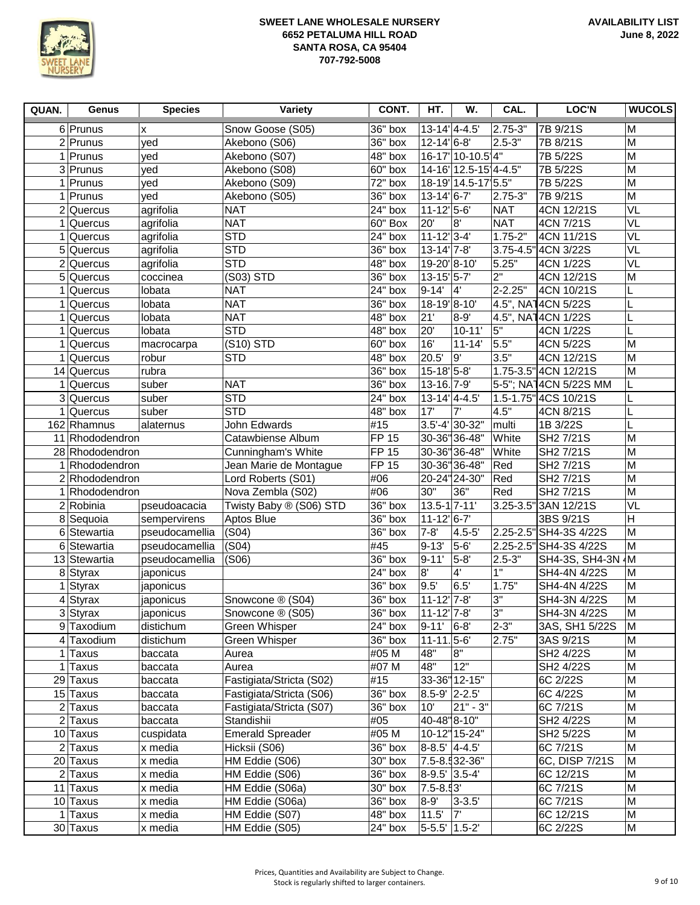

| QUAN. | Genus                  | <b>Species</b> | Variety                  | CONT.                | HT.                            | W.                   | CAL.           | LOC'N                  | <b>WUCOLS</b>  |
|-------|------------------------|----------------|--------------------------|----------------------|--------------------------------|----------------------|----------------|------------------------|----------------|
|       | 6 Prunus               | x              | Snow Goose (S05)         | 36" box              | $13-14$ <sup>'</sup> $4-4.5$ ' |                      | 2.75-3"        | 7B 9/21S               | M              |
|       | $2$ Prunus             | yed            | Akebono (S06)            | 36" box              | $12 - 14$ <sup>'</sup> 6-8'    |                      | 2.5-3"         | 7B 8/21S               | M              |
|       | 1 Prunus               | yed            | Akebono (S07)            | 48" box              |                                | 16-17' 10-10.5 4"    |                | 7B 5/22S               | M              |
|       | 3 Prunus               | yed            | Akebono (S08)            | 60" box              |                                | 14-16 12.5-15 4-4.5" |                | 7B 5/22S               | M              |
|       | $1$ Prunus             | yed            | Akebono (S09)            | 72" box              |                                | 18-19 14.5-17 5.5"   |                | 7B 5/22S               | M              |
|       | 1 Prunus               | yed            | Akebono (S05)            | 36" box              | $13 - 14$ <sup>1</sup> 6-7     |                      | 2.75-3"        | 7B 9/21S               | M              |
|       | $2$ Quercus            | agrifolia      | <b>NAT</b>               | 24" box              | $11 - 12$ 5-6                  |                      | <b>NAT</b>     | 4CN 12/21S             | VL             |
|       | $1$ Quercus            | agrifolia      | <b>NAT</b>               | 60" Box              | 20'                            | 8'                   | <b>NAT</b>     | 4CN 7/21S              | VL             |
| 1     | Quercus                | agrifolia      | <b>STD</b>               | 24" box              | $11-12'3-4'$                   |                      | $1.75 - 2"$    | 4CN 11/21S             | VL             |
|       | 5 Quercus              | agrifolia      | <b>STD</b>               | 36" box              | $13 - 14'$ 7-8'                |                      |                | 3.75-4.5" 4CN 3/22S    | VL             |
|       | $2$ Quercus            | agrifolia      | <b>STD</b>               | 48" box              | 19-20'8-10'                    |                      | 5.25"          | 4CN 1/22S              | VL             |
|       | $5$ Quercus            | coccinea       | (S03) STD                | 36" box              | $13 - 15$ <sup>1</sup> $5 - 7$ |                      | 2"             | 4CN 12/21S             | M              |
| 1     | Quercus                | lobata         | <b>NAT</b>               | 24" box              | $9 - 14'$                      | 4                    | $2 - 2.25"$    | 4CN 10/21S             | L              |
| 1     | Quercus                | lobata         | <b>NAT</b>               | 36" box              | 18-19 8-10                     |                      |                | 4.5", NA14CN 5/22S     | L              |
| 1     | Quercus                | lobata         | <b>NAT</b>               | 48" box              | 21'                            | $8-9'$               |                | 4.5", NA14CN 1/22S     | L              |
| 1     | Quercus                | lobata         | <b>STD</b>               | 48" box              | 20'                            | $10 - 11'$           | 5"             | 4CN 1/22S              | L              |
|       | $1$ Quercus            | macrocarpa     | (S10) STD                | 60" box              | 16'                            | $11 - 14'$           | 5.5"           | 4CN 5/22S              | $\overline{M}$ |
|       | $1$ Quercus            | robur          | <b>STD</b>               | 48" box              | 20.5                           | 9                    | 3.5"           | 4CN 12/21S             | $\overline{M}$ |
|       | 14 Quercus             | rubra          |                          | $36"$ box            | 15-18' 5-8'                    |                      |                | 1.75-3.5" 4CN 12/21S   | M              |
|       | $\overline{1}$ Quercus | suber          | <b>NAT</b>               | 36" box              | 13-16. 7-9                     |                      |                | 5-5"; NA14CN 5/22S MM  | L              |
|       | 3 Quercus              | suber          | <b>STD</b>               | $\overline{2}4"$ box | $13-14$ <sup>'</sup> $4-4.5$ ' |                      |                | 1.5-1.75" 4CS 10/21S   | L              |
|       | $1$ Quercus            | suber          | <b>STD</b>               | 48" box              | 17'                            | 7'                   | 4.5"           | 4CN 8/21S              |                |
|       | 162 Rhamnus            | alaternus      | <b>John Edwards</b>      | #15                  |                                | $3.5' - 4'$ 30-32"   | multi          | 1B 3/22S               |                |
|       | 11 Rhododendron        |                | Catawbiense Album        | <b>FP 15</b>         |                                | 30-36"36-48"         | White          | SH2 7/21S              | M              |
|       | 28 Rhododendron        |                | Cunningham's White       | <b>FP 15</b>         |                                | 30-36" 36-48"        | White          | SH2 7/21S              | M              |
|       | 1 Rhododendron         |                | Jean Marie de Montague   | <b>FP 15</b>         |                                | 30-36" 36-48"        | Red            | SH2 7/21S              | M              |
|       | 2 Rhododendron         |                | Lord Roberts (S01)       | #06                  |                                | 20-24" 24-30"        | Red            | SH2 7/21S              | M              |
|       | 1 Rhododendron         |                | Nova Zembla (S02)        | #06                  | 30"                            | 36"                  | Red            | SH2 7/21S              | $\overline{M}$ |
|       | $2 R$ obinia           | pseudoacacia   | Twisty Baby ® (S06) STD  | $36"$ box            | 13.5-1 7-11'                   |                      | 3.25-3.5"      | 3AN 12/21S             | VL             |
|       | 8 Sequoia              | sempervirens   | Aptos Blue               | $36"$ box            | $11 - 12$ <sup>1</sup> 6-7     |                      |                | 3BS 9/21S              | H              |
|       | 6 Stewartia            | pseudocamellia | (S04)                    | $36"$ box            | $7 - 8'$                       | $4.5 - 5$            |                | 2.25-2.5" SH4-3S 4/22S | M              |
|       | 6 Stewartia            | pseudocamellia | (S04)                    | #45                  | $9 - 13'$                      | 5-6                  |                | 2.25-2.5" SH4-3S 4/22S | M              |
|       | 13 Stewartia           | pseudocamellia | (S06)                    | 36" box              | $9 - 11'$                      | $5-8$                | $2.5 - 3"$     | SH4-3S, SH4-3N         | ∤М             |
|       | 8 Styrax               | japonicus      |                          | 24" box              | 8"                             | $\overline{4}$       | $\overline{1}$ | SH4-4N 4/22S           | M              |
| 1     | Styrax                 | japonicus      |                          | 36" box              | 9.5'                           | 6.5'                 | 1.75"          | SH4-4N 4/22S           | M              |
|       | $4$ Styrax             | japonicus      | Snowcone ® (S04)         | 36" box              | $11-12$ <sup>'</sup> 7-8'      |                      | 3"             | SH4-3N 4/22S           | M              |
|       | 3 Styrax               | japonicus      | Snowcone ® (S05)         | 36" box              | 11-12'7-8'                     |                      | 3"             | SH4-3N 4/22S           | M              |
|       | 9 Taxodium             | distichum      | Green Whisper            | 24" box              | 9-11' 6-8'                     |                      | 2-3"           | 3AS, SH1 5/22S         | M              |
| 4     | Taxodium               | distichum      | Green Whisper            | 36" box              | $11 - 11.5 - 6$                |                      | 2.75"          | 3AS 9/21S              | M              |
| 1     | <b>Taxus</b>           | baccata        | Aurea                    | #05 M                | 48"                            | 8"                   |                | SH2 4/22S              | M              |
| 1     | Taxus                  | baccata        | Aurea                    | #07 M                | 48"                            | 12"                  |                | SH2 4/22S              | M              |
|       | 29 Taxus               | baccata        | Fastigiata/Stricta (S02) | #15                  |                                | 33-36" 12-15"        |                | 6C 2/22S               | M              |
|       | 15 Taxus               | baccata        | Fastigiata/Stricta (S06) | $36"$ box            | 8.5-9' 2-2.5'                  |                      |                | 6C 4/22S               | M              |
|       | $2$ Taxus              | baccata        | Fastigiata/Stricta (S07) | $36"$ box            | 10'                            | $21" - 3"$           |                | 6C 7/21S               | M              |
|       | $2$ Taxus              | baccata        | Standishii               | #05                  | $40 - 48$ "8-10"               |                      |                | SH2 4/22S              | M              |
|       | 10 Taxus               | cuspidata      | Emerald Spreader         | #05 M                |                                | 10-12" 15-24"        |                | SH2 5/22S              | M              |
|       | $2$ Taxus              | x media        | Hicksii (S06)            | 36" box              | 8-8.5' 4-4.5'                  |                      |                | 6C 7/21S               | M              |
|       | 20 Taxus               | x media        | HM Eddie (S06)           | 30" box              |                                | 7.5-8.532-36"        |                | 6C, DISP 7/21S         | M              |
|       | $2$ Taxus              | x media        | HM Eddie (S06)           | $36"$ box            | 8-9.5' 3.5-4'                  |                      |                | 6C 12/21S              | M              |
|       | 11 Taxus               | x media        | HM Eddie (S06a)          | 30" box              | 7.5-8.53'                      |                      |                | 6C 7/21S               | M              |
|       | 10 Taxus               | x media        | HM Eddie (S06a)          | 36" box              | 8-9'                           | $3 - 3.5'$           |                | 6C 7/21S               | M              |
|       | 1 Taxus                | x media        | HM Eddie (S07)           | $48"$ box            | 11.5'                          | 7'                   |                | 6C 12/21S              | M              |
|       | 30 Taxus               | x media        | HM Eddie (S05)           | $24"$ box            | 5-5.5' 1.5-2'                  |                      |                | 6C 2/22S               | M              |